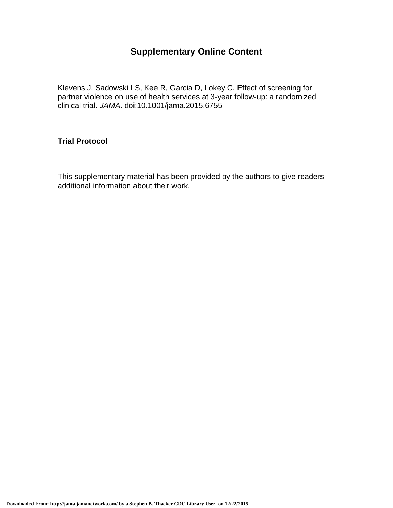## **Supplementary Online Content**

Klevens J, Sadowski LS, Kee R, Garcia D, Lokey C. Effect of screening for partner violence on use of health services at 3-year follow-up: a randomized clinical trial. *JAMA*. doi:10.1001/jama.2015.6755

## **Trial Protocol**

This supplementary material has been provided by the authors to give readers additional information about their work.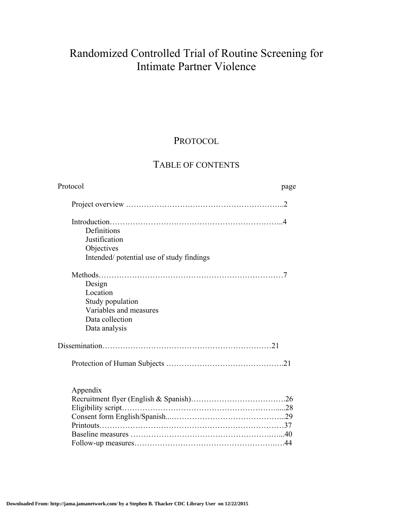# Randomized Controlled Trial of Routine Screening for Intimate Partner Violence

## PROTOCOL

## TABLE OF CONTENTS

| Protocol                                 | page |
|------------------------------------------|------|
|                                          |      |
|                                          |      |
| Definitions                              |      |
| Justification                            |      |
| Objectives                               |      |
| Intended/potential use of study findings |      |
|                                          |      |
| Design                                   |      |
| Location                                 |      |
| Study population                         |      |
| Variables and measures                   |      |
| Data collection                          |      |
| Data analysis                            |      |
|                                          |      |
|                                          |      |
| Appendix                                 |      |
|                                          |      |
|                                          |      |
|                                          |      |
|                                          |      |
|                                          |      |
|                                          |      |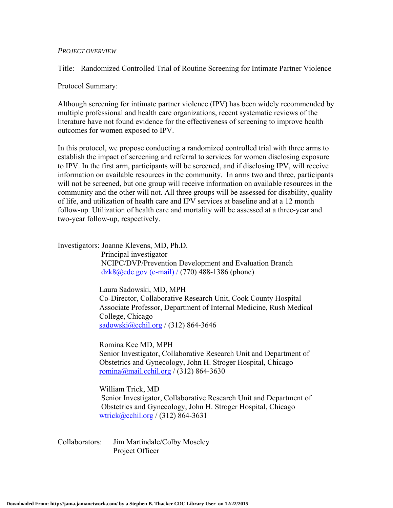#### *PROJECT OVERVIEW*

Title: Randomized Controlled Trial of Routine Screening for Intimate Partner Violence

Protocol Summary:

Although screening for intimate partner violence (IPV) has been widely recommended by multiple professional and health care organizations, recent systematic reviews of the literature have not found evidence for the effectiveness of screening to improve health outcomes for women exposed to IPV.

In this protocol, we propose conducting a randomized controlled trial with three arms to establish the impact of screening and referral to services for women disclosing exposure to IPV. In the first arm, participants will be screened, and if disclosing IPV, will receive information on available resources in the community. In arms two and three, participants will not be screened, but one group will receive information on available resources in the community and the other will not. All three groups will be assessed for disability, quality of life, and utilization of health care and IPV services at baseline and at a 12 month follow-up. Utilization of health care and mortality will be assessed at a three-year and two-year follow-up, respectively.

Investigators: Joanne Klevens, MD, Ph.D.

 Principal investigator NCIPC/DVP/Prevention Development and Evaluation Branch dzk8@cdc.gov (e-mail) / (770) 488-1386 (phone)

Laura Sadowski, MD, MPH Co-Director, Collaborative Research Unit, Cook County Hospital Associate Professor, Department of Internal Medicine, Rush Medical College, Chicago sadowski@cchil.org /  $(312)$  864-3646

Romina Kee MD, MPH

Senior Investigator, Collaborative Research Unit and Department of Obstetrics and Gynecology, John H. Stroger Hospital, Chicago romina@mail.cchil.org / (312) 864-3630

 William Trick, MD Senior Investigator, Collaborative Research Unit and Department of Obstetrics and Gynecology, John H. Stroger Hospital, Chicago wtrick@cchil.org /  $(312)$  864-3631

Collaborators: Jim Martindale/Colby Moseley Project Officer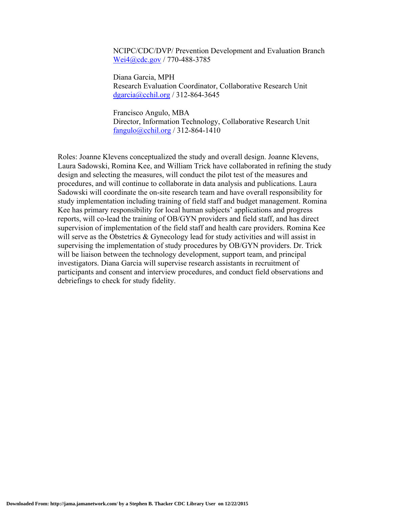NCIPC/CDC/DVP/ Prevention Development and Evaluation Branch Wei4@cdc.gov / 770-488-3785

 Diana Garcia, MPH Research Evaluation Coordinator, Collaborative Research Unit dgarcia@cchil.org / 312-864-3645

 Francisco Angulo, MBA Director, Information Technology, Collaborative Research Unit fangulo@cchil.org / 312-864-1410

Roles: Joanne Klevens conceptualized the study and overall design. Joanne Klevens, Laura Sadowski, Romina Kee, and William Trick have collaborated in refining the study design and selecting the measures, will conduct the pilot test of the measures and procedures, and will continue to collaborate in data analysis and publications. Laura Sadowski will coordinate the on-site research team and have overall responsibility for study implementation including training of field staff and budget management. Romina Kee has primary responsibility for local human subjects' applications and progress reports, will co-lead the training of OB/GYN providers and field staff, and has direct supervision of implementation of the field staff and health care providers. Romina Kee will serve as the Obstetrics & Gynecology lead for study activities and will assist in supervising the implementation of study procedures by OB/GYN providers. Dr. Trick will be liaison between the technology development, support team, and principal investigators. Diana Garcia will supervise research assistants in recruitment of participants and consent and interview procedures, and conduct field observations and debriefings to check for study fidelity.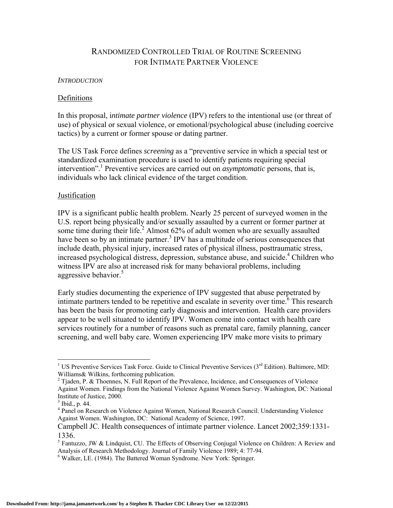## RANDOMIZED CONTROLLED TRIAL OF ROUTINE SCREENING FOR INTIMATE PARTNER VIOLENCE

#### *INTRODUCTION*

#### Definitions

In this proposal, i*ntimate partner violence* (IPV) refers to the intentional use (or threat of use) of physical or sexual violence, or emotional/psychological abuse (including coercive tactics) by a current or former spouse or dating partner.

The US Task Force defines *screening* as a "preventive service in which a special test or standardized examination procedure is used to identify patients requiring special intervention".1 Preventive services are carried out on *asymptomatic* persons, that is, individuals who lack clinical evidence of the target condition.

#### Justification

IPV is a significant public health problem. Nearly 25 percent of surveyed women in the U.S. report being physically and/or sexually assaulted by a current or former partner at some time during their life.<sup>2</sup> Almost 62% of adult women who are sexually assaulted have been so by an intimate partner.<sup>3</sup> IPV has a multitude of serious consequences that include death, physical injury, increased rates of physical illness, posttraumatic stress, increased psychological distress, depression, substance abuse, and suicide.<sup>4</sup> Children who witness IPV are also at increased risk for many behavioral problems, including aggressive behavior.<sup>5</sup>

Early studies documenting the experience of IPV suggested that abuse perpetrated by intimate partners tended to be repetitive and escalate in severity over time.<sup>6</sup> This research has been the basis for promoting early diagnosis and intervention. Health care providers appear to be well situated to identify IPV. Women come into contact with health care services routinely for a number of reasons such as prenatal care, family planning, cancer screening, and well baby care. Women experiencing IPV make more visits to primary

<sup>&</sup>lt;sup>1</sup> US Preventive Services Task Force. Guide to Clinical Preventive Services (3<sup>rd</sup> Edition). Baltimore, MD: Williams& Wilkins, forthcoming publication.

<sup>&</sup>lt;sup>2</sup> Tjaden, P. & Thoennes, N. Full Report of the Prevalence, Incidence, and Consequences of Violence Against Women. Findings from the National Violence Against Women Survey. Washington, DC: National Institute of Justice, 2000.

 $3$  Ibid., p. 44.

<sup>&</sup>lt;sup>4</sup> Panel on Research on Violence Against Women, National Research Council. Understanding Violence Against Women. Washington, DC: National Academy of Science, 1997.

Campbell JC. Health consequences of intimate partner violence. Lancet 2002;359:1331- 1336.

<sup>&</sup>lt;sup>5</sup> Fantuzzo, JW & Lindquist, CU. The Effects of Observing Conjugal Violence on Children: A Review and Analysis of Research Methodology. Journal of Family Violence 1989; 4: 77-94.

<sup>6</sup> Walker, LE. (1984). The Battered Woman Syndrome. New York: Springer.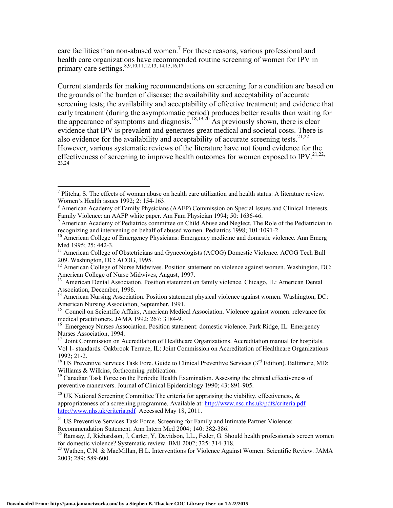care facilities than non-abused women.<sup>7</sup> For these reasons, various professional and health care organizations have recommended routine screening of women for IPV in primary care settings.<sup>8,9,10,11,12,13, 14,15,16,17</sup>

Current standards for making recommendations on screening for a condition are based on the grounds of the burden of disease; the availability and acceptability of accurate screening tests; the availability and acceptability of effective treatment; and evidence that early treatment (during the asymptomatic period) produces better results than waiting for the appearance of symptoms and diagnosis.<sup>18,19,20</sup> As previously shown, there is clear evidence that IPV is prevalent and generates great medical and societal costs. There is also evidence for the availability and acceptability of accurate screening tests.<sup>21,22</sup> However, various systematic reviews of the literature have not found evidence for the effectiveness of screening to improve health outcomes for women exposed to IPV.<sup>21,22,</sup> 23,24

<sup>21</sup> US Preventive Services Task Force. Screening for Family and Intimate Partner Violence: Recommendation Statement. Ann Intern Med 2004; 140: 382-386.

 $\overline{a}$ 

<sup>&</sup>lt;sup>7</sup> Plitcha, S. The effects of woman abuse on health care utilization and health status: A literature review. Women's Health issues 1992; 2: 154-163.

<sup>&</sup>lt;sup>8</sup> American Academy of Family Physicians (AAFP) Commission on Special Issues and Clinical Interests. Family Violence: an AAFP white paper. Am Fam Physician 1994; 50: 1636-46.

<sup>&</sup>lt;sup>9</sup> American Academy of Pediatrics committee on Child Abuse and Neglect. The Role of the Pediatrician in recognizing and intervening on behalf of abused women. Pediatrics 1998; 101:1091-2

 $10$  American College of Emergency Physicians: Emergency medicine and domestic violence. Ann Emerg Med 1995; 25: 442-3.

<sup>&</sup>lt;sup>11</sup> American College of Obstetricians and Gynecologists (ACOG) Domestic Violence. ACOG Tech Bull 209. Washington, DC: ACOG, 1995.

<sup>&</sup>lt;sup>12</sup> American College of Nurse Midwives. Position statement on violence against women. Washington, DC: American College of Nurse Midwives, August, 1997.

<sup>&</sup>lt;sup>13</sup> American Dental Association. Position statement on family violence. Chicago, IL: American Dental Association, December, 1996.

<sup>&</sup>lt;sup>14</sup> American Nursing Association. Position statement physical violence against women. Washington, DC: American Nursing Association, September, 1991.

<sup>&</sup>lt;sup>15</sup> Council on Scientific Affairs, American Medical Association. Violence against women: relevance for medical practitioners. JAMA 1992; 267: 3184-9.

<sup>&</sup>lt;sup>16</sup> Emergency Nurses Association. Position statement: domestic violence. Park Ridge, IL: Emergency Nurses Association, 1994.

<sup>&</sup>lt;sup>17</sup> Joint Commission on Accreditation of Healthcare Organizations. Accreditation manual for hospitals. Vol 1- standards. Oakbrook Terrace, IL: Joint Commission on Accreditation of Healthcare Organizations 1992; 21-2.

<sup>&</sup>lt;sup>18</sup> US Preventive Services Task Fore. Guide to Clinical Preventive Services ( $3<sup>rd</sup>$  Edition). Baltimore, MD: Williams & Wilkins, forthcoming publication.

<sup>&</sup>lt;sup>19</sup> Canadian Task Force on the Periodic Health Examination. Assessing the clinical effectiveness of preventive maneuvers. Journal of Clinical Epidemiology 1990; 43: 891-905.

<sup>&</sup>lt;sup>20</sup> UK National Screening Committee The criteria for appraising the viability, effectiveness,  $\&$ appropriateness of a screening programme. Available at: http://www.nsc.nhs.uk/pdfs/criteria.pdf http://www.nhs.uk/criteria.pdf Accessed May 18, 2011.

 $^{22}$  Ramsay, J, Richardson, J, Carter, Y, Davidson, LL., Feder, G. Should health professionals screen women for domestic violence? Systematic review. BMJ 2002; 325: 314-318.

<sup>&</sup>lt;sup>23</sup> Wathen, C.N. & MacMillan, H.L. Interventions for Violence Against Women. Scientific Review. JAMA 2003; 289: 589-600.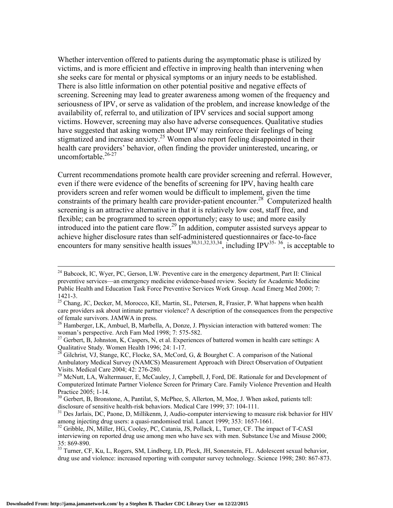Whether intervention offered to patients during the asymptomatic phase is utilized by victims, and is more efficient and effective in improving health than intervening when she seeks care for mental or physical symptoms or an injury needs to be established. There is also little information on other potential positive and negative effects of screening. Screening may lead to greater awareness among women of the frequency and seriousness of IPV, or serve as validation of the problem, and increase knowledge of the availability of, referral to, and utilization of IPV services and social support among victims. However, screening may also have adverse consequences. Qualitative studies have suggested that asking women about IPV may reinforce their feelings of being stigmatized and increase anxiety.<sup>25</sup> Women also report feeling disappointed in their health care providers' behavior, often finding the provider uninterested, uncaring, or uncomfortable. $26-27$ 

Current recommendations promote health care provider screening and referral. However, even if there were evidence of the benefits of screening for IPV, having health care providers screen and refer women would be difficult to implement, given the time constraints of the primary health care provider-patient encounter.<sup>28</sup> Computerized health screening is an attractive alternative in that it is relatively low cost, staff free, and flexible; can be programmed to screen opportunely; easy to use; and more easily introduced into the patient care flow.<sup>29</sup> In addition, computer assisted surveys appear to achieve higher disclosure rates than self-administered questionnaires or face-to-face encounters for many sensitive health issues<sup>30,31,32,33,34</sup>, including IPV<sup>35-36</sup>, is acceptable to

<sup>&</sup>lt;sup>24</sup> Babcock, IC, Wyer, PC, Gerson, LW. Preventive care in the emergency department, Part II: Clinical preventive services—an emergency medicine evidence-based review. Society for Academic Medicine Public Health and Education Task Force Preventive Services Work Group. Acad Emerg Med 2000; 7: 1421-3.

<sup>&</sup>lt;sup>25</sup> Chang, JC, Decker, M, Morocco, KE, Martin, SL, Petersen, R, Frasier, P. What happens when health care providers ask about intimate partner violence? A description of the consequences from the perspective of female survivors. JAMWA in press.

 $^{26}$  Hamberger, LK, Ambuel, B, Marbella, A, Donze, J. Physician interaction with battered women: The woman's perspective. Arch Fam Med 1998; 7: 575-582.

<sup>&</sup>lt;sup>27</sup> Gerbert, B, Johnston, K, Caspers, N, et al. Experiences of battered women in health care settings: A Qualitative Study. Women Health 1996; 24: 1-17.

 $^{28}$  Gilchrist, VJ, Stange, KC, Flocke, SA, McCord, G, & Bourghet C. A comparison of the National Ambulatory Medical Survey (NAMCS) Measurement Approach with Direct Observation of Outpatient Visits. Medical Care 2004; 42: 276-280.

<sup>&</sup>lt;sup>29</sup> McNutt, LA, Waltermauer, E, McCauley, J, Campbell, J, Ford, DE. Rationale for and Development of Computerized Intimate Partner Violence Screen for Primary Care. Family Violence Prevention and Health Practice 2005; 1-14.

<sup>&</sup>lt;sup>30</sup> Gerbert, B, Bronstone, A, Pantilat, S, McPhee, S, Allerton, M, Moe, J. When asked, patients tell: disclosure of sensitive health-risk behaviors. Medical Care 1999; 37: 104-111.<br><sup>31</sup> Des Jarlais, DC, Paone, D, Millikenm, J, Audio-computer interviewing to measure risk behavior for HIV

among injecting drug users: a quasi-randomised trial. Lancet 1999; 353: 1657-1661.

 $32$  Gribble, JN, Miller, HG, Cooley, PC, Catania, JS, Pollack, L, Turner, CF. The impact of T-CASI interviewing on reported drug use among men who have sex with men. Substance Use and Misuse 2000; 35: 869-890.

<sup>&</sup>lt;sup>33</sup> Turner, CF, Ku, L, Rogers, SM, Lindberg, LD, Pleck, JH, Sonenstein, FL. Adolescent sexual behavior, drug use and violence: increased reporting with computer survey technology. Science 1998; 280: 867-873.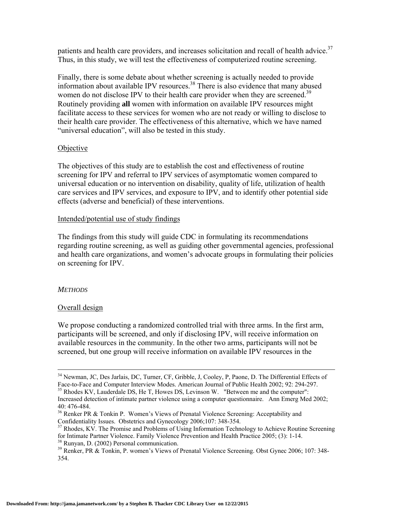patients and health care providers, and increases solicitation and recall of health advice.<sup>37</sup> Thus, in this study, we will test the effectiveness of computerized routine screening.

Finally, there is some debate about whether screening is actually needed to provide information about available IPV resources.<sup>38</sup> There is also evidence that many abused women do not disclose IPV to their health care provider when they are screened.<sup>39</sup> Routinely providing **all** women with information on available IPV resources might facilitate access to these services for women who are not ready or willing to disclose to their health care provider. The effectiveness of this alternative, which we have named "universal education", will also be tested in this study.

#### **Objective**

The objectives of this study are to establish the cost and effectiveness of routine screening for IPV and referral to IPV services of asymptomatic women compared to universal education or no intervention on disability, quality of life, utilization of health care services and IPV services, and exposure to IPV, and to identify other potential side effects (adverse and beneficial) of these interventions.

## Intended/potential use of study findings

The findings from this study will guide CDC in formulating its recommendations regarding routine screening, as well as guiding other governmental agencies, professional and health care organizations, and women's advocate groups in formulating their policies on screening for IPV.

#### *METHODS*

## Overall design

We propose conducting a randomized controlled trial with three arms. In the first arm, participants will be screened, and only if disclosing IPV, will receive information on available resources in the community. In the other two arms, participants will not be screened, but one group will receive information on available IPV resources in the

<sup>&</sup>lt;sup>34</sup> Newman, JC, Des Jarlais, DC, Turner, CF, Gribble, J, Cooley, P, Paone, D. The Differential Effects of Face-to-Face and Computer Interview Modes. American Journal of Public Health 2002; 92: 294-297.

 $<sup>35</sup>$  Rhodes KV, Lauderdale DS, He T, Howes DS, Levinson W. "Between me and the computer":</sup> Increased detection of intimate partner violence using a computer questionnaire. Ann Emerg Med 2002; 40: 476-484.

<sup>&</sup>lt;sup>36</sup> Renker PR & Tonkin P. Women's Views of Prenatal Violence Screening: Acceptability and Confidentiality Issues. Obstetrics and Gynecology 2006;107: 348-354.

<sup>&</sup>lt;sup>37</sup> Rhodes, KV. The Promise and Problems of Using Information Technology to Achieve Routine Screening for Intimate Partner Violence. Family Violence Prevention and Health Practice 2005; (3): 1-14. 38 Runyan, D. (2002) Personal communication.

<sup>&</sup>lt;sup>39</sup> Renker, PR & Tonkin, P. women's Views of Prenatal Violence Screening. Obst Gynec 2006; 107: 348-354.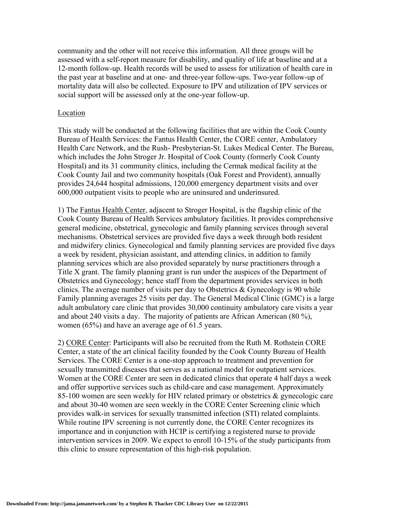community and the other will not receive this information. All three groups will be assessed with a self-report measure for disability, and quality of life at baseline and at a 12-month follow-up. Health records will be used to assess for utilization of health care in the past year at baseline and at one- and three-year follow-ups. Two-year follow-up of mortality data will also be collected. Exposure to IPV and utilization of IPV services or social support will be assessed only at the one-year follow-up.

#### Location

This study will be conducted at the following facilities that are within the Cook County Bureau of Health Services: the Fantus Health Center, the CORE center, Ambulatory Health Care Network, and the Rush- Presbyterian-St. Lukes Medical Center. The Bureau, which includes the John Stroger Jr. Hospital of Cook County (formerly Cook County Hospital) and its 31 community clinics, including the Cermak medical facility at the Cook County Jail and two community hospitals (Oak Forest and Provident), annually provides 24,644 hospital admissions, 120,000 emergency department visits and over 600,000 outpatient visits to people who are uninsured and underinsured.

1) The Fantus Health Center, adjacent to Stroger Hospital, is the flagship clinic of the Cook County Bureau of Health Services ambulatory facilities. It provides comprehensive general medicine, obstetrical, gynecologic and family planning services through several mechanisms. Obstetrical services are provided five days a week through both resident and midwifery clinics. Gynecological and family planning services are provided five days a week by resident, physician assistant, and attending clinics, in addition to family planning services which are also provided separately by nurse practitioners through a Title X grant. The family planning grant is run under the auspices of the Department of Obstetrics and Gynecology; hence staff from the department provides services in both clinics. The average number of visits per day to Obstetrics  $&$  Gynecology is 90 while Family planning averages 25 visits per day. The General Medical Clinic (GMC) is a large adult ambulatory care clinic that provides 30,000 continuity ambulatory care visits a year and about 240 visits a day. The majority of patients are African American (80 %), women (65%) and have an average age of 61.5 years.

2) CORE Center: Participants will also be recruited from the Ruth M. Rothstein CORE Center, a state of the art clinical facility founded by the Cook County Bureau of Health Services. The CORE Center is a one-stop approach to treatment and prevention for sexually transmitted diseases that serves as a national model for outpatient services. Women at the CORE Center are seen in dedicated clinics that operate 4 half days a week and offer supportive services such as child-care and case management. Approximately 85-100 women are seen weekly for HIV related primary or obstetrics & gynecologic care and about 30-40 women are seen weekly in the CORE Center Screening clinic which provides walk-in services for sexually transmitted infection (STI) related complaints. While routine IPV screening is not currently done, the CORE Center recognizes its importance and in conjunction with HCIP is certifying a registered nurse to provide intervention services in 2009. We expect to enroll 10-15% of the study participants from this clinic to ensure representation of this high-risk population.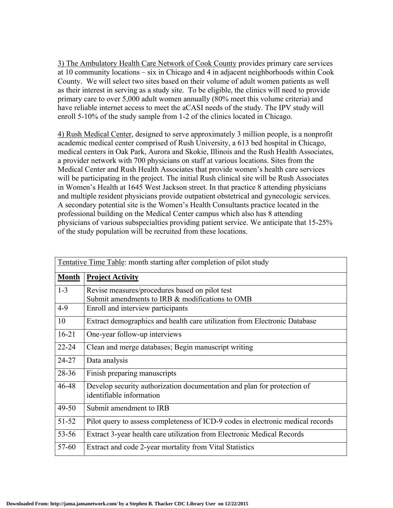3) The Ambulatory Health Care Network of Cook County provides primary care services at 10 community locations – six in Chicago and 4 in adjacent neighborhoods within Cook County. We will select two sites based on their volume of adult women patients as well as their interest in serving as a study site. To be eligible, the clinics will need to provide primary care to over 5,000 adult women annually (80% meet this volume criteria) and have reliable internet access to meet the aCASI needs of the study. The IPV study will enroll 5-10% of the study sample from 1-2 of the clinics located in Chicago*.* 

4) Rush Medical Center, designed to serve approximately 3 million people, is a nonprofit academic medical center comprised of Rush University, a 613 bed hospital in Chicago, medical centers in Oak Park, Aurora and Skokie, Illinois and the Rush Health Associates, a provider network with 700 physicians on staff at various locations. Sites from the Medical Center and Rush Health Associates that provide women's health care services will be participating in the project. The initial Rush clinical site will be Rush Associates in Women's Health at 1645 West Jackson street. In that practice 8 attending physicians and multiple resident physicians provide outpatient obstetrical and gynecologic services. A secondary potential site is the Women's Health Consultants practice located in the professional building on the Medical Center campus which also has 8 attending physicians of various subspecialties providing patient service. We anticipate that 15-25% of the study population will be recruited from these locations.

| Tentative Time Table: month starting after completion of pilot study |                                                                                                     |  |
|----------------------------------------------------------------------|-----------------------------------------------------------------------------------------------------|--|
| <b>Month</b>                                                         | <b>Project Activity</b>                                                                             |  |
| $1 - 3$                                                              | Revise measures/procedures based on pilot test<br>Submit amendments to IRB & modifications to OMB   |  |
| $4-9$                                                                | Enroll and interview participants                                                                   |  |
| 10                                                                   | Extract demographics and health care utilization from Electronic Database                           |  |
| $16 - 21$                                                            | One-year follow-up interviews                                                                       |  |
| $22 - 24$                                                            | Clean and merge databases; Begin manuscript writing                                                 |  |
| 24-27                                                                | Data analysis                                                                                       |  |
| $28 - 36$                                                            | Finish preparing manuscripts                                                                        |  |
| 46-48                                                                | Develop security authorization documentation and plan for protection of<br>identifiable information |  |
| $49 - 50$                                                            | Submit amendment to IRB                                                                             |  |
| 51-52                                                                | Pilot query to assess completeness of ICD-9 codes in electronic medical records                     |  |
| $53 - 56$                                                            | Extract 3-year health care utilization from Electronic Medical Records                              |  |
| 57-60                                                                | Extract and code 2-year mortality from Vital Statistics                                             |  |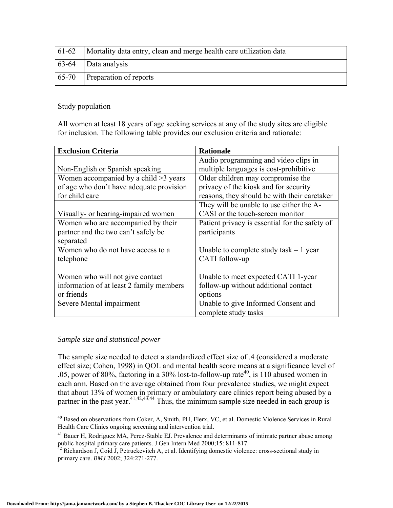| 61-62   Mortality data entry, clean and merge health care utilization data |
|----------------------------------------------------------------------------|
| $\begin{array}{ c c }\n\hline\n63-64 \quad   Data analysis\n\end{array}$   |
| $\vert$ 65-70 Preparation of reports                                       |

### Study population

All women at least 18 years of age seeking services at any of the study sites are eligible for inclusion. The following table provides our exclusion criteria and rationale:

| <b>Exclusion Criteria</b>                | <b>Rationale</b>                               |
|------------------------------------------|------------------------------------------------|
|                                          | Audio programming and video clips in           |
| Non-English or Spanish speaking          | multiple languages is cost-prohibitive         |
| Women accompanied by a child $>3$ years  | Older children may compromise the              |
| of age who don't have adequate provision | privacy of the kiosk and for security          |
| for child care                           | reasons, they should be with their caretaker   |
|                                          | They will be unable to use either the A-       |
| Visually- or hearing-impaired women      | CASI or the touch-screen monitor               |
| Women who are accompanied by their       | Patient privacy is essential for the safety of |
| partner and the two can't safely be      | participants                                   |
| separated                                |                                                |
| Women who do not have access to a        | Unable to complete study task $-1$ year        |
| telephone                                | CATI follow-up                                 |
|                                          |                                                |
| Women who will not give contact          | Unable to meet expected CATI 1-year            |
| information of at least 2 family members | follow-up without additional contact           |
| or friends                               | options                                        |
| Severe Mental impairment                 | Unable to give Informed Consent and            |
|                                          | complete study tasks                           |

#### *Sample size and statistical power*

The sample size needed to detect a standardized effect size of .4 (considered a moderate effect size; Cohen, 1998) in QOL and mental health score means at a significance level of .05, power of 80%, factoring in a 30% lost-to-follow-up rate<sup>40</sup>, is 110 abused women in each arm. Based on the average obtained from four prevalence studies, we might expect that about 13% of women in primary or ambulatory care clinics report being abused by a partner in the past year.  $41,42,43,44$  Thus, the minimum sample size needed in each group is

 $\overline{a}$ <sup>40</sup> Based on observations from Coker, A, Smith, PH, Flerx, VC, et al. Domestic Violence Services in Rural Health Care Clinics ongoing screening and intervention trial.

<sup>&</sup>lt;sup>41</sup> Bauer H, Rodriguez MA, Perez-Stable EJ. Prevalence and determinants of intimate partner abuse among public hospital primary care patients. J Gen Intern Med 2000;15: 811-817.<br><sup>42</sup> Richardson J, Coid J, Petruckevitch A, et al. Identifying domestic violence: cross-sectional study in

primary care. *BMJ* 2002; 324:271-277.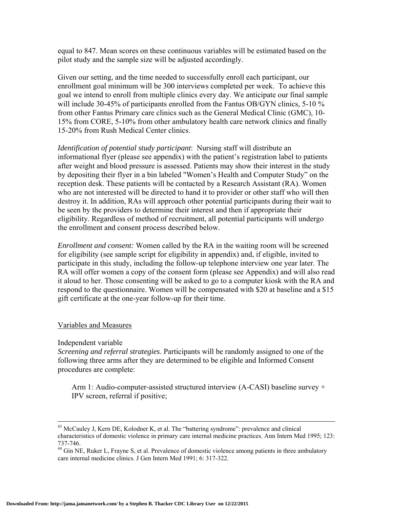equal to 847. Mean scores on these continuous variables will be estimated based on the pilot study and the sample size will be adjusted accordingly.

Given our setting, and the time needed to successfully enroll each participant, our enrollment goal minimum will be 300 interviews completed per week. To achieve this goal we intend to enroll from multiple clinics every day. We anticipate our final sample will include 30-45% of participants enrolled from the Fantus OB/GYN clinics, 5-10 % from other Fantus Primary care clinics such as the General Medical Clinic (GMC), 10- 15% from CORE, 5-10% from other ambulatory health care network clinics and finally 15-20% from Rush Medical Center clinics.

*Identification of potential study participant*: Nursing staff will distribute an informational flyer (please see appendix) with the patient's registration label to patients after weight and blood pressure is assessed. Patients may show their interest in the study by depositing their flyer in a bin labeled "Women's Health and Computer Study" on the reception desk. These patients will be contacted by a Research Assistant (RA). Women who are not interested will be directed to hand it to provider or other staff who will then destroy it. In addition, RAs will approach other potential participants during their wait to be seen by the providers to determine their interest and then if appropriate their eligibility. Regardless of method of recruitment, all potential participants will undergo the enrollment and consent process described below.

*Enrollment and consent:* Women called by the RA in the waiting room will be screened for eligibility (see sample script for eligibility in appendix) and, if eligible, invited to participate in this study, including the follow-up telephone interview one year later. The RA will offer women a copy of the consent form (please see Appendix) and will also read it aloud to her. Those consenting will be asked to go to a computer kiosk with the RA and respond to the questionnaire. Women will be compensated with \$20 at baseline and a \$15 gift certificate at the one-year follow-up for their time.

#### Variables and Measures

#### Independent variable

*Screening and referral strategies*. Participants will be randomly assigned to one of the following three arms after they are determined to be eligible and Informed Consent procedures are complete:

Arm 1: Audio-computer-assisted structured interview (A-CASI) baseline survey + IPV screen, referral if positive;

 $43$  McCauley J, Kern DE, Kolodner K, et al. The "battering syndrome": prevalence and clinical characteristics of domestic violence in primary care internal medicine practices. Ann Intern Med 1995; 123: 737-746.

<sup>&</sup>lt;sup>44</sup> Gin NE, Ruker L, Frayne S, et al. Prevalence of domestic violence among patients in three ambulatory care internal medicine clinics. J Gen Intern Med 1991; 6: 317-322.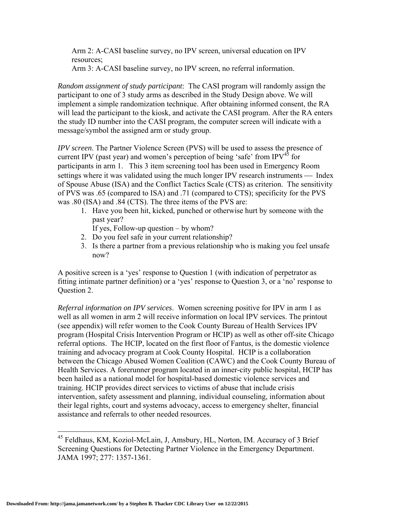Arm 2: A-CASI baseline survey, no IPV screen, universal education on IPV resources;

Arm 3: A-CASI baseline survey, no IPV screen, no referral information.

*Random assignment of study participant*: The CASI program will randomly assign the participant to one of 3 study arms as described in the Study Design above. We will implement a simple randomization technique. After obtaining informed consent, the RA will lead the participant to the kiosk, and activate the CASI program. After the RA enters the study ID number into the CASI program, the computer screen will indicate with a message/symbol the assigned arm or study group.

*IPV screen*. The Partner Violence Screen (PVS) will be used to assess the presence of current IPV (past year) and women's perception of being 'safe' from IPV<sup>45</sup> for participants in arm 1. This 3 item screening tool has been used in Emergency Room settings where it was validated using the much longer IPV research instruments — Index of Spouse Abuse (ISA) and the Conflict Tactics Scale (CTS) as criterion. The sensitivity of PVS was .65 (compared to ISA) and .71 (compared to CTS); specificity for the PVS was .80 (ISA) and .84 (CTS). The three items of the PVS are:

1. Have you been hit, kicked, punched or otherwise hurt by someone with the past year?

If yes, Follow-up question – by whom?

- 2. Do you feel safe in your current relationship?
- 3. Is there a partner from a previous relationship who is making you feel unsafe now?

A positive screen is a 'yes' response to Question 1 (with indication of perpetrator as fitting intimate partner definition) or a 'yes' response to Question 3, or a 'no' response to Question 2.

*Referral information on IPV services*. Women screening positive for IPV in arm 1 as well as all women in arm 2 will receive information on local IPV services. The printout (see appendix) will refer women to the Cook County Bureau of Health Services IPV program (Hospital Crisis Intervention Program or HCIP) as well as other off-site Chicago referral options. The HCIP, located on the first floor of Fantus, is the domestic violence training and advocacy program at Cook County Hospital. HCIP is a collaboration between the Chicago Abused Women Coalition (CAWC) and the Cook County Bureau of Health Services. A forerunner program located in an inner-city public hospital, HCIP has been hailed as a national model for hospital-based domestic violence services and training. HCIP provides direct services to victims of abuse that include crisis intervention, safety assessment and planning, individual counseling, information about their legal rights, court and systems advocacy, access to emergency shelter, financial assistance and referrals to other needed resources.

1

<sup>&</sup>lt;sup>45</sup> Feldhaus, KM, Koziol-McLain, J, Amsbury, HL, Norton, IM. Accuracy of 3 Brief Screening Questions for Detecting Partner Violence in the Emergency Department. JAMA 1997; 277: 1357-1361.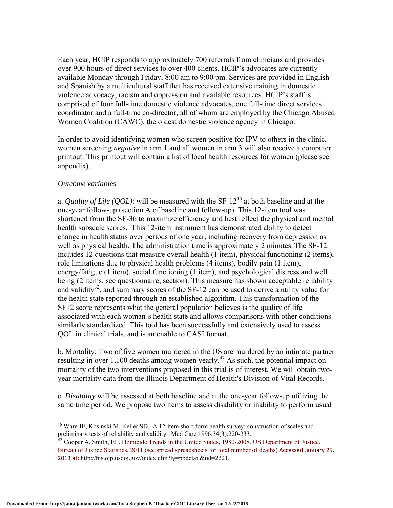Each year, HCIP responds to approximately 700 referrals from clinicians and provides over 900 hours of direct services to over 400 clients. HCIP's advocates are currently available Monday through Friday, 8:00 am to 9:00 pm. Services are provided in English and Spanish by a multicultural staff that has received extensive training in domestic violence advocacy, racism and oppression and available resources. HCIP's staff is comprised of four full-time domestic violence advocates, one full-time direct services coordinator and a full-time co-director, all of whom are employed by the Chicago Abused Women Coalition (CAWC), the oldest domestic violence agency in Chicago.

In order to avoid identifying women who screen positive for IPV to others in the clinic, women screening *negative* in arm 1 and all women in arm 3 will also receive a computer printout. This printout will contain a list of local health resources for women (please see appendix).

#### *Outcome variables*

a. *Quality of Life (QOL)*: will be measured with the  $SF-12^{46}$  at both baseline and at the one-year follow-up (section A of baseline and follow-up). This 12-item tool was shortened from the SF-36 to maximize efficiency and best reflect the physical and mental health subscale scores. This 12-item instrument has demonstrated ability to detect change in health status over periods of one year, including recovery from depression as well as physical health. The administration time is approximately 2 minutes. The SF-12 includes 12 questions that measure overall health (1 item), physical functioning (2 items), role limitations due to physical health problems (4 items), bodily pain (1 item), energy/fatigue (1 item), social functioning (1 item), and psychological distress and well being (2 items; see questionnaire, section). This measure has shown acceptable reliability and validity<sup>32</sup>, and summary scores of the SF-12 can be used to derive a utility value for the health state reported through an established algorithm. This transformation of the SF12 score represents what the general population believes is the quality of life associated with each woman's health state and allows comparisons with other conditions similarly standardized. This tool has been successfully and extensively used to assess QOL in clinical trials, and is amenable to CASI format.

b. Mortality: Two of five women murdered in the US are murdered by an intimate partner resulting in over  $1,100$  deaths among women yearly.<sup>47</sup> As such, the potential impact on mortality of the two interventions proposed in this trial is of interest. We will obtain twoyear mortality data from the Illinois Department of Health's Division of Vital Records.

c*. Disability* will be assessed at both baseline and at the one-year follow-up utilizing the same time period. We propose two items to assess disability or inability to perform usual

<sup>1</sup> <sup>46</sup> Ware JE, Kosinski M, Keller SD. A 12-item short-form health survey: construction of scales and preliminary tests of reliability and validity. Med Care 1996;34(3):220-233.

 $47$  Cooper A, Smith, EL. Homicide Trends in the United States, 1980-2008. US Department of Justice, Bureau of Justice Statistics, 2011 (see spread spreadsheets for total number of deaths) Accessed January 25, 2013 at: http://bjs.ojp.usdoj.gov/index.cfm?ty=pbdetail&iid=2221.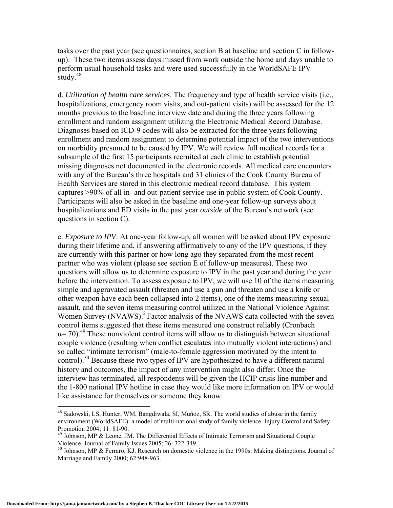tasks over the past year (see questionnaires, section B at baseline and section C in followup). These two items assess days missed from work outside the home and days unable to perform usual household tasks and were used successfully in the WorldSAFE IPV study.<sup>48</sup>

d*. Utilization of health care services*. The frequency and type of health service visits (i.e., hospitalizations, emergency room visits, and out-patient visits) will be assessed for the 12 months previous to the baseline interview date and during the three years following enrollment and random assignment utilizing the Electronic Medical Record Database. Diagnoses based on ICD-9 codes will also be extracted for the three years following enrollment and random assignment to determine potential impact of the two interventions on morbidity presumed to be caused by IPV. We will review full medical records for a subsample of the first 15 participants recruited at each clinic to establish potential missing diagnoses not documented in the electronic records. All medical care encounters with any of the Bureau's three hospitals and 31 clinics of the Cook County Bureau of Health Services are stored in this electronic medical record database. This system captures >90% of all in- and out-patient service use in public system of Cook County. Participants will also be asked in the baseline and one-year follow-up surveys about hospitalizations and ED visits in the past year *outside* of the Bureau's network (see questions in section C).

e. *Exposure to IPV*: At one-year follow-up, all women will be asked about IPV exposure during their lifetime and, if answering affirmatively to any of the IPV questions, if they are currently with this partner or how long ago they separated from the most recent partner who was violent (please see section E of follow-up measures). These two questions will allow us to determine exposure to IPV in the past year and during the year before the intervention. To assess exposure to IPV, we will use 10 of the items measuring simple and aggravated assault (threaten and use a gun and threaten and use a knife or other weapon have each been collapsed into 2 items), one of the items measuring sexual assault, and the seven items measuring control utilized in the National Violence Against Women Survey (NVAWS).<sup>2</sup> Factor analysis of the NVAWS data collected with the seven control items suggested that these items measured one construct reliably (Cronbach  $\alpha$ =.70).<sup>49</sup> These nonviolent control items will allow us to distinguish between situational couple violence (resulting when conflict escalates into mutually violent interactions) and so called "intimate terrorism" (male-to-female aggression motivated by the intent to control).<sup>50</sup> Because these two types of IPV are hypothesized to have a different natural history and outcomes, the impact of any intervention might also differ. Once the interview has terminated, all respondents will be given the HCIP crisis line number and the 1-800 national IPV hotline in case they would like more information on IPV or would like assistance for themselves or someone they know.

 $\overline{a}$ 

<sup>&</sup>lt;sup>48</sup> Sadowski, LS, Hunter, WM, Bangdiwala, SI, Muñoz, SR. The world studies of abuse in the family environment (WorldSAFE): a model of multi-national study of family violence. Injury Control and Safety Promotion 2004; 11: 81-90.

 $49$  Johnson, MP & Leone, JM. The Differential Effects of Intimate Terrorism and Situational Couple Violence. Journal of Family Issues 2005; 26: 322-349.

<sup>50</sup> Johnson, MP & Ferraro, KJ. Research on domestic violence in the 1990s: Making distinctions. Journal of Marriage and Family 2000; 62:948-963.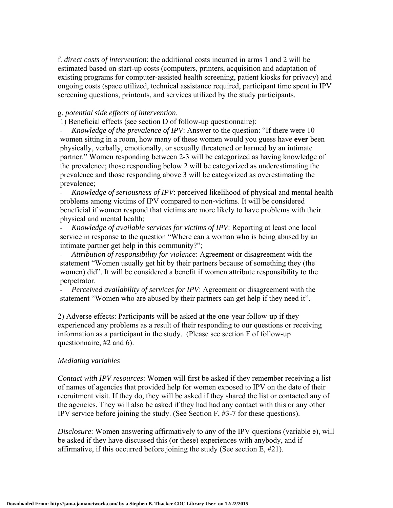f. *direct costs of intervention*: the additional costs incurred in arms 1 and 2 will be estimated based on start-up costs (computers, printers, acquisition and adaptation of existing programs for computer-assisted health screening, patient kiosks for privacy) and ongoing costs (space utilized, technical assistance required, participant time spent in IPV screening questions, printouts, and services utilized by the study participants.

#### g. *potential side effects of intervention*.

1) Beneficial effects (see section D of follow-up questionnaire):

- *Knowledge of the prevalence of IPV*: Answer to the question: "If there were 10 women sitting in a room, how many of these women would you guess have **ever** been physically, verbally, emotionally, or sexually threatened or harmed by an intimate partner." Women responding between 2-3 will be categorized as having knowledge of the prevalence; those responding below 2 will be categorized as underestimating the prevalence and those responding above 3 will be categorized as overestimating the prevalence;

- *Knowledge of seriousness of IPV*: perceived likelihood of physical and mental health problems among victims of IPV compared to non-victims. It will be considered beneficial if women respond that victims are more likely to have problems with their physical and mental health;

- *Knowledge of available services for victims of IPV*: Reporting at least one local service in response to the question "Where can a woman who is being abused by an intimate partner get help in this community?";

- *Attribution of responsibility for violence*: Agreement or disagreement with the statement "Women usually get hit by their partners because of something they (the women) did". It will be considered a benefit if women attribute responsibility to the perpetrator.

- *Perceived availability of services for IPV*: Agreement or disagreement with the statement "Women who are abused by their partners can get help if they need it".

2) Adverse effects: Participants will be asked at the one-year follow-up if they experienced any problems as a result of their responding to our questions or receiving information as a participant in the study. (Please see section F of follow-up questionnaire, #2 and 6).

#### *Mediating variables*

*Contact with IPV resources*: Women will first be asked if they remember receiving a list of names of agencies that provided help for women exposed to IPV on the date of their recruitment visit. If they do, they will be asked if they shared the list or contacted any of the agencies. They will also be asked if they had had any contact with this or any other IPV service before joining the study. (See Section F, #3-7 for these questions).

*Disclosure*: Women answering affirmatively to any of the IPV questions (variable e), will be asked if they have discussed this (or these) experiences with anybody, and if affirmative, if this occurred before joining the study (See section E, #21).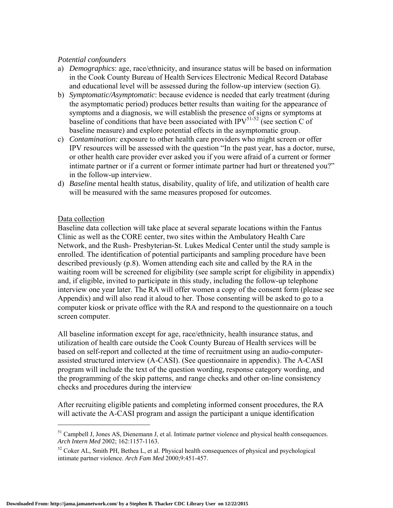### *Potential confounders*

- a) *Demographics*: age, race/ethnicity, and insurance status will be based on information in the Cook County Bureau of Health Services Electronic Medical Record Database and educational level will be assessed during the follow-up interview (section G).
- b) *Symptomatic/Asymptomatic*: because evidence is needed that early treatment (during the asymptomatic period) produces better results than waiting for the appearance of symptoms and a diagnosis, we will establish the presence of signs or symptoms at baseline of conditions that have been associated with IPV $^{51-52}$  (see section C of baseline measure) and explore potential effects in the asymptomatic group.
- c) *Contamination:* exposure to other health care providers who might screen or offer IPV resources will be assessed with the question "In the past year, has a doctor, nurse, or other health care provider ever asked you if you were afraid of a current or former intimate partner or if a current or former intimate partner had hurt or threatened you?" in the follow-up interview.
- d) *Baseline* mental health status, disability, quality of life, and utilization of health care will be measured with the same measures proposed for outcomes.

## Data collection

 $\overline{a}$ 

Baseline data collection will take place at several separate locations within the Fantus Clinic as well as the CORE center, two sites within the Ambulatory Health Care Network, and the Rush- Presbyterian-St. Lukes Medical Center until the study sample is enrolled. The identification of potential participants and sampling procedure have been described previously (p.8). Women attending each site and called by the RA in the waiting room will be screened for eligibility (see sample script for eligibility in appendix) and, if eligible, invited to participate in this study, including the follow-up telephone interview one year later. The RA will offer women a copy of the consent form (please see Appendix) and will also read it aloud to her. Those consenting will be asked to go to a computer kiosk or private office with the RA and respond to the questionnaire on a touch screen computer.

All baseline information except for age, race/ethnicity, health insurance status, and utilization of health care outside the Cook County Bureau of Health services will be based on self-report and collected at the time of recruitment using an audio-computerassisted structured interview (A-CASI). (See questionnaire in appendix). The A-CASI program will include the text of the question wording, response category wording, and the programming of the skip patterns, and range checks and other on-line consistency checks and procedures during the interview

After recruiting eligible patients and completing informed consent procedures, the RA will activate the A-CASI program and assign the participant a unique identification

<sup>&</sup>lt;sup>51</sup> Campbell J, Jones AS, Dienemann J, et al. Intimate partner violence and physical health consequences. *Arch Intern Med* 2002; 162:1157-1163.

 $52$  Coker AL, Smith PH, Bethea L, et al. Physical health consequences of physical and psychological intimate partner violence. *Arch Fam Med* 2000;9:451-457.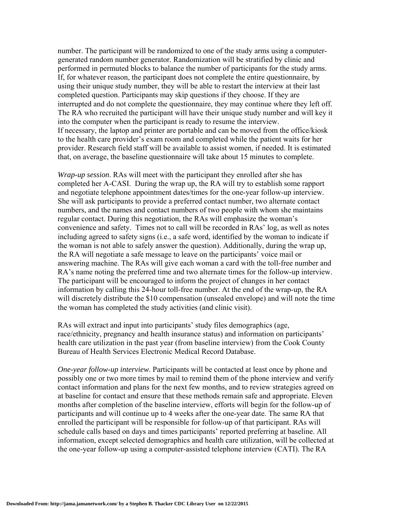number. The participant will be randomized to one of the study arms using a computergenerated random number generator. Randomization will be stratified by clinic and performed in permuted blocks to balance the number of participants for the study arms. If, for whatever reason, the participant does not complete the entire questionnaire, by using their unique study number, they will be able to restart the interview at their last completed question. Participants may skip questions if they choose. If they are interrupted and do not complete the questionnaire, they may continue where they left off. The RA who recruited the participant will have their unique study number and will key it into the computer when the participant is ready to resume the interview. If necessary, the laptop and printer are portable and can be moved from the office/kiosk to the health care provider's exam room and completed while the patient waits for her provider. Research field staff will be available to assist women, if needed. It is estimated that, on average, the baseline questionnaire will take about 15 minutes to complete.

*Wrap-up session*. RAs will meet with the participant they enrolled after she has completed her A-CASI. During the wrap up, the RA will try to establish some rapport and negotiate telephone appointment dates/times for the one-year follow-up interview. She will ask participants to provide a preferred contact number, two alternate contact numbers, and the names and contact numbers of two people with whom she maintains regular contact. During this negotiation, the RAs will emphasize the woman's convenience and safety. Times not to call will be recorded in RAs' log, as well as notes including agreed to safety signs (i.e., a safe word, identified by the woman to indicate if the woman is not able to safely answer the question). Additionally, during the wrap up, the RA will negotiate a safe message to leave on the participants' voice mail or answering machine. The RAs will give each woman a card with the toll-free number and RA's name noting the preferred time and two alternate times for the follow-up interview. The participant will be encouraged to inform the project of changes in her contact information by calling this 24-hour toll-free number. At the end of the wrap-up, the RA will discretely distribute the \$10 compensation (unsealed envelope) and will note the time the woman has completed the study activities (and clinic visit).

RAs will extract and input into participants' study files demographics (age, race/ethnicity, pregnancy and health insurance status) and information on participants' health care utilization in the past year (from baseline interview) from the Cook County Bureau of Health Services Electronic Medical Record Database.

*One-year follow-up interview*. Participants will be contacted at least once by phone and possibly one or two more times by mail to remind them of the phone interview and verify contact information and plans for the next few months, and to review strategies agreed on at baseline for contact and ensure that these methods remain safe and appropriate. Eleven months after completion of the baseline interview, efforts will begin for the follow-up of participants and will continue up to 4 weeks after the one-year date. The same RA that enrolled the participant will be responsible for follow-up of that participant. RAs will schedule calls based on days and times participants' reported preferring at baseline. All information, except selected demographics and health care utilization, will be collected at the one-year follow-up using a computer-assisted telephone interview (CATI). The RA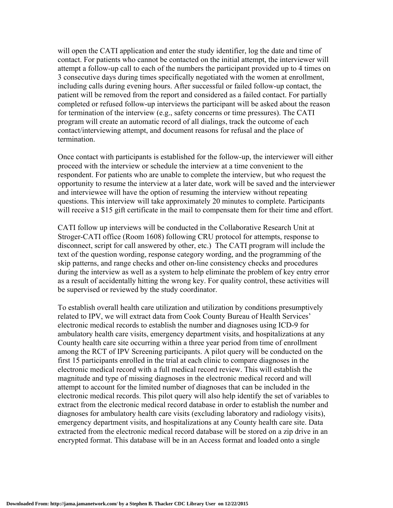will open the CATI application and enter the study identifier, log the date and time of contact. For patients who cannot be contacted on the initial attempt, the interviewer will attempt a follow-up call to each of the numbers the participant provided up to 4 times on 3 consecutive days during times specifically negotiated with the women at enrollment, including calls during evening hours. After successful or failed follow-up contact, the patient will be removed from the report and considered as a failed contact. For partially completed or refused follow-up interviews the participant will be asked about the reason for termination of the interview (e.g., safety concerns or time pressures). The CATI program will create an automatic record of all dialings, track the outcome of each contact/interviewing attempt, and document reasons for refusal and the place of termination.

Once contact with participants is established for the follow-up, the interviewer will either proceed with the interview or schedule the interview at a time convenient to the respondent. For patients who are unable to complete the interview, but who request the opportunity to resume the interview at a later date, work will be saved and the interviewer and interviewee will have the option of resuming the interview without repeating questions. This interview will take approximately 20 minutes to complete. Participants will receive a \$15 gift certificate in the mail to compensate them for their time and effort.

CATI follow up interviews will be conducted in the Collaborative Research Unit at Stroger-CATI office (Room 1608) following CRU protocol for attempts, response to disconnect, script for call answered by other, etc.) The CATI program will include the text of the question wording, response category wording, and the programming of the skip patterns, and range checks and other on-line consistency checks and procedures during the interview as well as a system to help eliminate the problem of key entry error as a result of accidentally hitting the wrong key. For quality control, these activities will be supervised or reviewed by the study coordinator.

To establish overall health care utilization and utilization by conditions presumptively related to IPV, we will extract data from Cook County Bureau of Health Services' electronic medical records to establish the number and diagnoses using ICD-9 for ambulatory health care visits, emergency department visits, and hospitalizations at any County health care site occurring within a three year period from time of enrollment among the RCT of IPV Screening participants. A pilot query will be conducted on the first 15 participants enrolled in the trial at each clinic to compare diagnoses in the electronic medical record with a full medical record review. This will establish the magnitude and type of missing diagnoses in the electronic medical record and will attempt to account for the limited number of diagnoses that can be included in the electronic medical records. This pilot query will also help identify the set of variables to extract from the electronic medical record database in order to establish the number and diagnoses for ambulatory health care visits (excluding laboratory and radiology visits), emergency department visits, and hospitalizations at any County health care site. Data extracted from the electronic medical record database will be stored on a zip drive in an encrypted format. This database will be in an Access format and loaded onto a single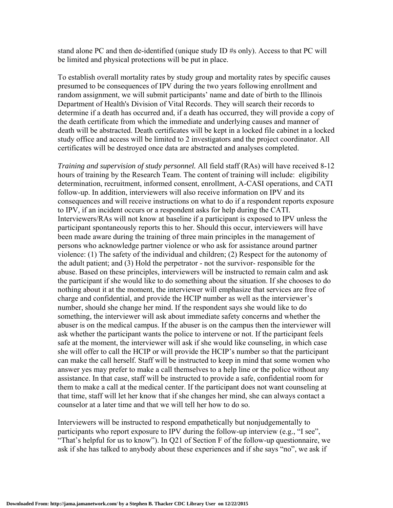stand alone PC and then de-identified (unique study ID #s only). Access to that PC will be limited and physical protections will be put in place.

To establish overall mortality rates by study group and mortality rates by specific causes presumed to be consequences of IPV during the two years following enrollment and random assignment, we will submit participants' name and date of birth to the Illinois Department of Health's Division of Vital Records. They will search their records to determine if a death has occurred and, if a death has occurred, they will provide a copy of the death certificate from which the immediate and underlying causes and manner of death will be abstracted. Death certificates will be kept in a locked file cabinet in a locked study office and access will be limited to 2 investigators and the project coordinator. All certificates will be destroyed once data are abstracted and analyses completed.

*Training and supervision of study personnel.* All field staff (RAs) will have received 8-12 hours of training by the Research Team. The content of training will include: eligibility determination, recruitment, informed consent, enrollment, A-CASI operations, and CATI follow-up. In addition, interviewers will also receive information on IPV and its consequences and will receive instructions on what to do if a respondent reports exposure to IPV, if an incident occurs or a respondent asks for help during the CATI. Interviewers/RAs will not know at baseline if a participant is exposed to IPV unless the participant spontaneously reports this to her. Should this occur, interviewers will have been made aware during the training of three main principles in the management of persons who acknowledge partner violence or who ask for assistance around partner violence: (1) The safety of the individual and children; (2) Respect for the autonomy of the adult patient; and (3) Hold the perpetrator - not the survivor- responsible for the abuse. Based on these principles, interviewers will be instructed to remain calm and ask the participant if she would like to do something about the situation. If she chooses to do nothing about it at the moment, the interviewer will emphasize that services are free of charge and confidential, and provide the HCIP number as well as the interviewer's number, should she change her mind. If the respondent says she would like to do something, the interviewer will ask about immediate safety concerns and whether the abuser is on the medical campus. If the abuser is on the campus then the interviewer will ask whether the participant wants the police to intervene or not. If the participant feels safe at the moment, the interviewer will ask if she would like counseling, in which case she will offer to call the HCIP or will provide the HCIP's number so that the participant can make the call herself. Staff will be instructed to keep in mind that some women who answer yes may prefer to make a call themselves to a help line or the police without any assistance. In that case, staff will be instructed to provide a safe, confidential room for them to make a call at the medical center. If the participant does not want counseling at that time, staff will let her know that if she changes her mind, she can always contact a counselor at a later time and that we will tell her how to do so.

Interviewers will be instructed to respond empathetically but nonjudgementally to participants who report exposure to IPV during the follow-up interview (e.g., "I see", "That's helpful for us to know"). In Q21 of Section F of the follow-up questionnaire, we ask if she has talked to anybody about these experiences and if she says "no", we ask if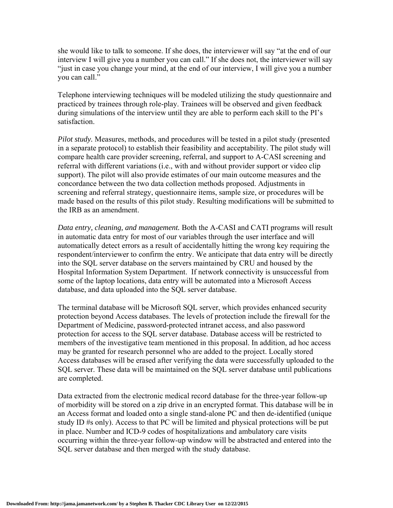she would like to talk to someone. If she does, the interviewer will say "at the end of our interview I will give you a number you can call." If she does not, the interviewer will say "just in case you change your mind, at the end of our interview, I will give you a number you can call."

Telephone interviewing techniques will be modeled utilizing the study questionnaire and practiced by trainees through role-play. Trainees will be observed and given feedback during simulations of the interview until they are able to perform each skill to the PI's satisfaction.

*Pilot study.* Measures, methods, and procedures will be tested in a pilot study (presented in a separate protocol) to establish their feasibility and acceptability. The pilot study will compare health care provider screening, referral, and support to A-CASI screening and referral with different variations (i.e., with and without provider support or video clip support). The pilot will also provide estimates of our main outcome measures and the concordance between the two data collection methods proposed. Adjustments in screening and referral strategy, questionnaire items, sample size, or procedures will be made based on the results of this pilot study. Resulting modifications will be submitted to the IRB as an amendment.

*Data entry, cleaning, and management.* Both the A-CASI and CATI programs will result in automatic data entry for most of our variables through the user interface and will automatically detect errors as a result of accidentally hitting the wrong key requiring the respondent/interviewer to confirm the entry. We anticipate that data entry will be directly into the SQL server database on the servers maintained by CRU and housed by the Hospital Information System Department. If network connectivity is unsuccessful from some of the laptop locations, data entry will be automated into a Microsoft Access database, and data uploaded into the SQL server database.

The terminal database will be Microsoft SQL server, which provides enhanced security protection beyond Access databases. The levels of protection include the firewall for the Department of Medicine, password-protected intranet access, and also password protection for access to the SQL server database. Database access will be restricted to members of the investigative team mentioned in this proposal. In addition, ad hoc access may be granted for research personnel who are added to the project. Locally stored Access databases will be erased after verifying the data were successfully uploaded to the SQL server. These data will be maintained on the SQL server database until publications are completed.

Data extracted from the electronic medical record database for the three-year follow-up of morbidity will be stored on a zip drive in an encrypted format. This database will be in an Access format and loaded onto a single stand-alone PC and then de-identified (unique study ID #s only). Access to that PC will be limited and physical protections will be put in place. Number and ICD-9 codes of hospitalizations and ambulatory care visits occurring within the three-year follow-up window will be abstracted and entered into the SQL server database and then merged with the study database.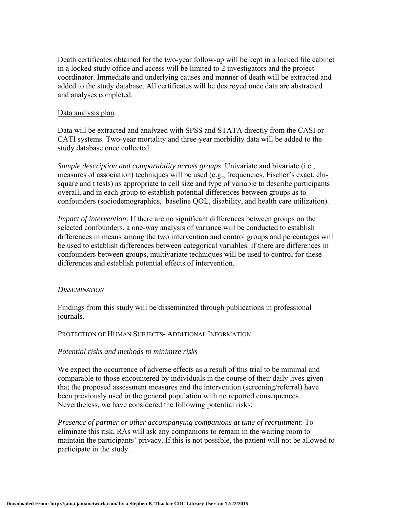Death certificates obtained for the two-year follow-up will be kept in a locked file cabinet in a locked study office and access will be limited to 2 investigators and the project coordinator. Immediate and underlying causes and manner of death will be extracted and added to the study database. All certificates will be destroyed once data are abstracted and analyses completed.

#### Data analysis plan

Data will be extracted and analyzed with SPSS and STATA directly from the CASI or CATI systems. Two-year mortality and three-year morbidity data will be added to the study database once collected.

*Sample description and comparability across groups*. Univariate and bivariate (i.e., measures of association) techniques will be used (e.g., frequencies, Fischer's exact, chisquare and t tests) as appropriate to cell size and type of variable to describe participants overall, and in each group to establish potential differences between groups as to confounders (sociodemographics, baseline QOL, disability, and health care utilization).

*Impact of intervention*: If there are no significant differences between groups on the selected confounders, a one-way analysis of variance will be conducted to establish differences in means among the two intervention and control groups and percentages will be used to establish differences between categorical variables. If there are differences in confounders between groups, multivariate techniques will be used to control for these differences and establish potential effects of intervention.

#### *DISSEMINATION*

Findings from this study will be disseminated through publications in professional journals.

#### PROTECTION OF HUMAN SUBJECTS- ADDITIONAL INFORMATION

#### *Potential risks and methods to minimize risks*

We expect the occurrence of adverse effects as a result of this trial to be minimal and comparable to those encountered by individuals in the course of their daily lives given that the proposed assessment measures and the intervention (screening/referral) have been previously used in the general population with no reported consequences. Nevertheless, we have considered the following potential risks:

*Presence of partner or other accompanying companions at time of recruitment*: To eliminate this risk, RAs will ask any companions to remain in the waiting room to maintain the participants' privacy. If this is not possible, the patient will not be allowed to participate in the study.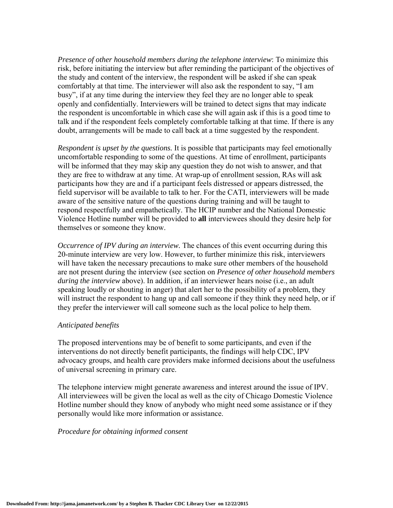*Presence of other household members during the telephone interview*: To minimize this risk, before initiating the interview but after reminding the participant of the objectives of the study and content of the interview, the respondent will be asked if she can speak comfortably at that time. The interviewer will also ask the respondent to say, "I am busy", if at any time during the interview they feel they are no longer able to speak openly and confidentially. Interviewers will be trained to detect signs that may indicate the respondent is uncomfortable in which case she will again ask if this is a good time to talk and if the respondent feels completely comfortable talking at that time. If there is any doubt, arrangements will be made to call back at a time suggested by the respondent.

*Respondent is upset by the questions.* It is possible that participants may feel emotionally uncomfortable responding to some of the questions. At time of enrollment, participants will be informed that they may skip any question they do not wish to answer, and that they are free to withdraw at any time. At wrap-up of enrollment session, RAs will ask participants how they are and if a participant feels distressed or appears distressed, the field supervisor will be available to talk to her. For the CATI, interviewers will be made aware of the sensitive nature of the questions during training and will be taught to respond respectfully and empathetically. The HCIP number and the National Domestic Violence Hotline number will be provided to **all** interviewees should they desire help for themselves or someone they know.

*Occurrence of IPV during an interview.* The chances of this event occurring during this 20-minute interview are very low. However, to further minimize this risk, interviewers will have taken the necessary precautions to make sure other members of the household are not present during the interview (see section on *Presence of other household members during the interview* above). In addition, if an interviewer hears noise (i.e., an adult speaking loudly or shouting in anger) that alert her to the possibility of a problem, they will instruct the respondent to hang up and call someone if they think they need help, or if they prefer the interviewer will call someone such as the local police to help them.

#### *Anticipated benefits*

The proposed interventions may be of benefit to some participants, and even if the interventions do not directly benefit participants, the findings will help CDC, IPV advocacy groups, and health care providers make informed decisions about the usefulness of universal screening in primary care.

The telephone interview might generate awareness and interest around the issue of IPV. All interviewees will be given the local as well as the city of Chicago Domestic Violence Hotline number should they know of anybody who might need some assistance or if they personally would like more information or assistance.

#### *Procedure for obtaining informed consent*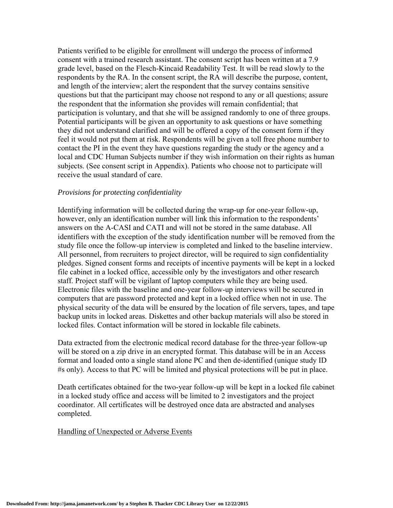Patients verified to be eligible for enrollment will undergo the process of informed consent with a trained research assistant. The consent script has been written at a 7.9 grade level, based on the Flesch-Kincaid Readability Test. It will be read slowly to the respondents by the RA. In the consent script, the RA will describe the purpose, content, and length of the interview; alert the respondent that the survey contains sensitive questions but that the participant may choose not respond to any or all questions; assure the respondent that the information she provides will remain confidential; that participation is voluntary, and that she will be assigned randomly to one of three groups. Potential participants will be given an opportunity to ask questions or have something they did not understand clarified and will be offered a copy of the consent form if they feel it would not put them at risk. Respondents will be given a toll free phone number to contact the PI in the event they have questions regarding the study or the agency and a local and CDC Human Subjects number if they wish information on their rights as human subjects. (See consent script in Appendix). Patients who choose not to participate will receive the usual standard of care.

#### *Provisions for protecting confidentiality*

Identifying information will be collected during the wrap-up for one-year follow-up, however, only an identification number will link this information to the respondents' answers on the A-CASI and CATI and will not be stored in the same database. All identifiers with the exception of the study identification number will be removed from the study file once the follow-up interview is completed and linked to the baseline interview. All personnel, from recruiters to project director, will be required to sign confidentiality pledges. Signed consent forms and receipts of incentive payments will be kept in a locked file cabinet in a locked office, accessible only by the investigators and other research staff. Project staff will be vigilant of laptop computers while they are being used. Electronic files with the baseline and one-year follow-up interviews will be secured in computers that are password protected and kept in a locked office when not in use. The physical security of the data will be ensured by the location of file servers, tapes, and tape backup units in locked areas. Diskettes and other backup materials will also be stored in locked files. Contact information will be stored in lockable file cabinets.

Data extracted from the electronic medical record database for the three-year follow-up will be stored on a zip drive in an encrypted format. This database will be in an Access format and loaded onto a single stand alone PC and then de-identified (unique study ID #s only). Access to that PC will be limited and physical protections will be put in place.

Death certificates obtained for the two-year follow-up will be kept in a locked file cabinet in a locked study office and access will be limited to 2 investigators and the project coordinator. All certificates will be destroyed once data are abstracted and analyses completed.

#### Handling of Unexpected or Adverse Events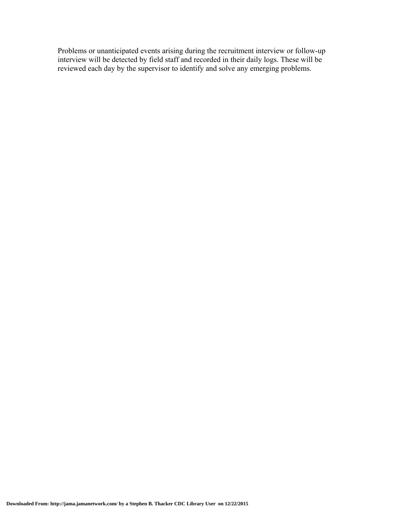Problems or unanticipated events arising during the recruitment interview or follow-up interview will be detected by field staff and recorded in their daily logs. These will be reviewed each day by the supervisor to identify and solve any emerging problems.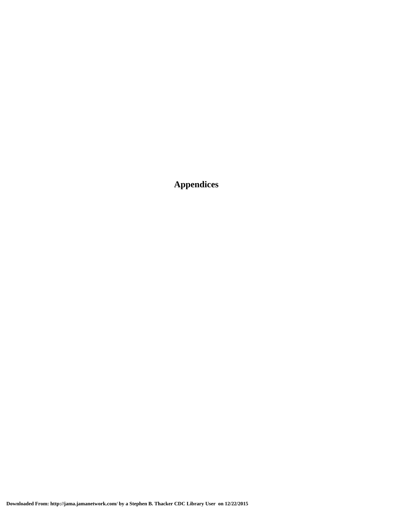**Appendices**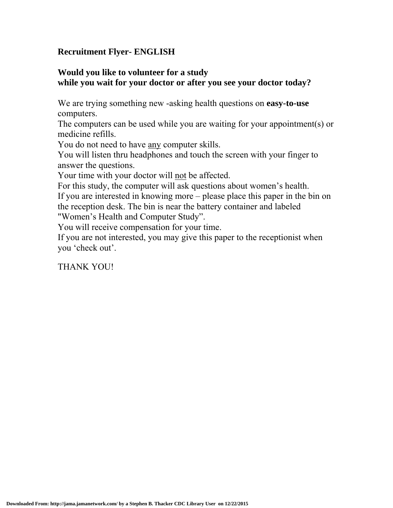## **Recruitment Flyer- ENGLISH**

## **Would you like to volunteer for a study while you wait for your doctor or after you see your doctor today?**

We are trying something new -asking health questions on **easy-to-use** computers.

The computers can be used while you are waiting for your appointment(s) or medicine refills.

You do not need to have any computer skills.

You will listen thru headphones and touch the screen with your finger to answer the questions.

Your time with your doctor will not be affected.

For this study, the computer will ask questions about women's health. If you are interested in knowing more – please place this paper in the bin on the reception desk. The bin is near the battery container and labeled "Women's Health and Computer Study".

You will receive compensation for your time.

If you are not interested, you may give this paper to the receptionist when you 'check out'.

THANK YOU!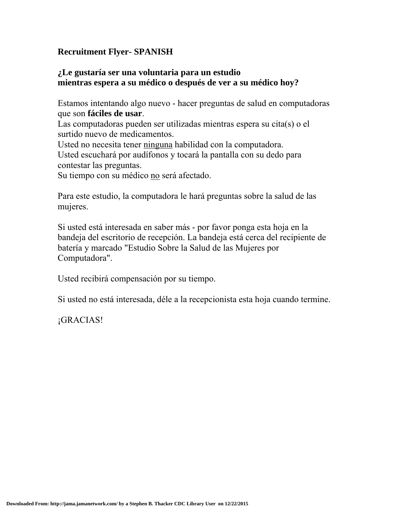## **Recruitment Flyer- SPANISH**

## **¿Le gustaría ser una voluntaria para un estudio mientras espera a su médico o después de ver a su médico hoy?**

Estamos intentando algo nuevo - hacer preguntas de salud en computadoras que son **fáciles de usar**.

Las computadoras pueden ser utilizadas mientras espera su cita(s) o el surtido nuevo de medicamentos.

Usted no necesita tener ninguna habilidad con la computadora.

Usted escuchará por audífonos y tocará la pantalla con su dedo para contestar las preguntas.

Su tiempo con su médico no será afectado.

Para este estudio, la computadora le hará preguntas sobre la salud de las mujeres.

Si usted está interesada en saber más - por favor ponga esta hoja en la bandeja del escritorio de recepción. La bandeja está cerca del recipiente de batería y marcado "Estudio Sobre la Salud de las Mujeres por Computadora".

Usted recibirá compensación por su tiempo.

Si usted no está interesada, déle a la recepcionista esta hoja cuando termine.

¡GRACIAS!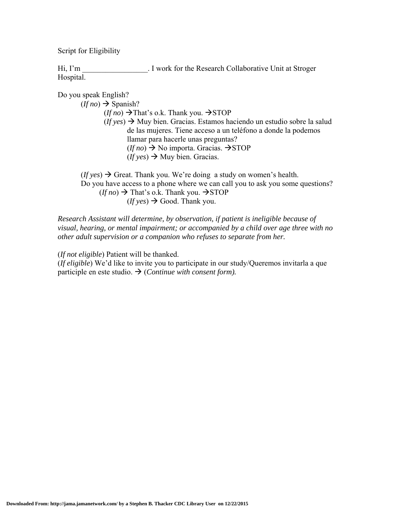Script for Eligibility

Hi, I'm Fig. 1 work for the Research Collaborative Unit at Stroger Hospital.

Do you speak English?

 $(If no) \rightarrow$  Spanish?  $(If no) \rightarrow That's o.k.$  Thank you.  $\rightarrow$  STOP  $(f(y \cos \theta) \rightarrow Muy \sin \theta)$ . Gracias. Estamos haciendo un estudio sobre la salud de las mujeres. Tiene acceso a un teléfono a donde la podemos llamar para hacerle unas preguntas?  $(If no) \rightarrow No$  importa. Gracias.  $\rightarrow$ STOP  $(f \, \text{yes}) \rightarrow M \,$ uy bien. Gracias.

 $(f y \cos \theta)$  Great. Thank you. We're doing a study on women's health. Do you have access to a phone where we can call you to ask you some questions?  $(f f \circ h o) \rightarrow$  That's o.k. Thank you.  $\rightarrow$  STOP  $(f f \text{ yes}) \rightarrow$  Good. Thank you.

*Research Assistant will determine, by observation, if patient is ineligible because of visual, hearing, or mental impairment; or accompanied by a child over age three with no other adult supervision or a companion who refuses to separate from her.* 

(*If not eligible*) Patient will be thanked.

(*If eligible*) We'd like to invite you to participate in our study/Queremos invitarla a que participle en este studio.  $\rightarrow$  (*Continue with consent form*).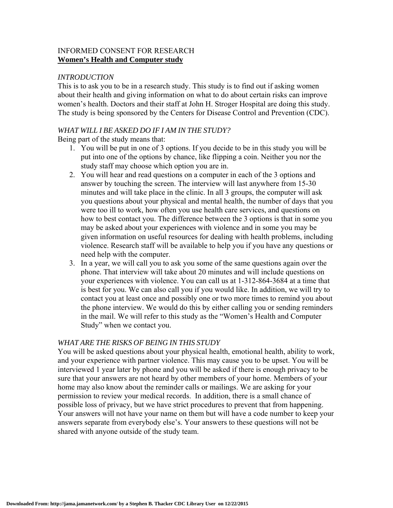## INFORMED CONSENT FOR RESEARCH **Women's Health and Computer study**

## *INTRODUCTION*

This is to ask you to be in a research study. This study is to find out if asking women about their health and giving information on what to do about certain risks can improve women's health. Doctors and their staff at John H. Stroger Hospital are doing this study. The study is being sponsored by the Centers for Disease Control and Prevention (CDC).

## *WHAT WILL I BE ASKED DO IF I AM IN THE STUDY?*

Being part of the study means that:

- 1. You will be put in one of 3 options. If you decide to be in this study you will be put into one of the options by chance, like flipping a coin. Neither you nor the study staff may choose which option you are in.
- 2. You will hear and read questions on a computer in each of the 3 options and answer by touching the screen. The interview will last anywhere from 15-30 minutes and will take place in the clinic. In all 3 groups, the computer will ask you questions about your physical and mental health, the number of days that you were too ill to work, how often you use health care services, and questions on how to best contact you. The difference between the 3 options is that in some you may be asked about your experiences with violence and in some you may be given information on useful resources for dealing with health problems, including violence. Research staff will be available to help you if you have any questions or need help with the computer.
- 3. In a year, we will call you to ask you some of the same questions again over the phone. That interview will take about 20 minutes and will include questions on your experiences with violence. You can call us at 1-312-864-3684 at a time that is best for you. We can also call you if you would like. In addition, we will try to contact you at least once and possibly one or two more times to remind you about the phone interview. We would do this by either calling you or sending reminders in the mail. We will refer to this study as the "Women's Health and Computer Study" when we contact you.

#### *WHAT ARE THE RISKS OF BEING IN THIS STUDY*

You will be asked questions about your physical health, emotional health, ability to work, and your experience with partner violence. This may cause you to be upset. You will be interviewed 1 year later by phone and you will be asked if there is enough privacy to be sure that your answers are not heard by other members of your home. Members of your home may also know about the reminder calls or mailings. We are asking for your permission to review your medical records. In addition, there is a small chance of possible loss of privacy, but we have strict procedures to prevent that from happening. Your answers will not have your name on them but will have a code number to keep your answers separate from everybody else's. Your answers to these questions will not be shared with anyone outside of the study team.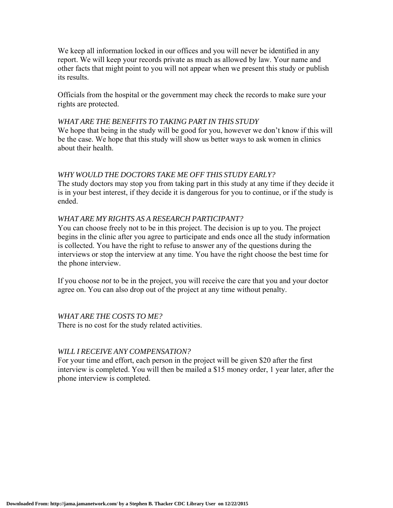We keep all information locked in our offices and you will never be identified in any report. We will keep your records private as much as allowed by law. Your name and other facts that might point to you will not appear when we present this study or publish its results.

Officials from the hospital or the government may check the records to make sure your rights are protected.

#### *WHAT ARE THE BENEFITS TO TAKING PART IN THIS STUDY*

We hope that being in the study will be good for you, however we don't know if this will be the case. We hope that this study will show us better ways to ask women in clinics about their health.

#### *WHY WOULD THE DOCTORS TAKE ME OFF THIS STUDY EARLY?*

The study doctors may stop you from taking part in this study at any time if they decide it is in your best interest, if they decide it is dangerous for you to continue, or if the study is ended.

### *WHAT ARE MY RIGHTS AS A RESEARCH PARTICIPANT?*

You can choose freely not to be in this project. The decision is up to you. The project begins in the clinic after you agree to participate and ends once all the study information is collected. You have the right to refuse to answer any of the questions during the interviews or stop the interview at any time. You have the right choose the best time for the phone interview.

If you choose *not* to be in the project, you will receive the care that you and your doctor agree on. You can also drop out of the project at any time without penalty.

#### *WHAT ARE THE COSTS TO ME?*

There is no cost for the study related activities.

#### *WILL I RECEIVE ANY COMPENSATION?*

For your time and effort, each person in the project will be given \$20 after the first interview is completed. You will then be mailed a \$15 money order, 1 year later, after the phone interview is completed.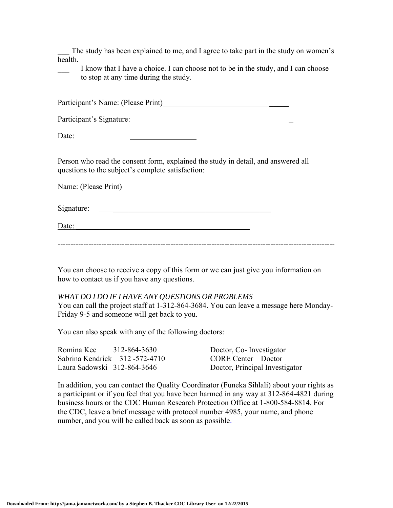The study has been explained to me, and I agree to take part in the study on women's health.

I know that I have a choice. I can choose not to be in the study, and I can choose to stop at any time during the study.

Participant's Name: (Please Print) \_\_\_\_\_\_\_\_

Participant's Signature:

Date:

Person who read the consent form, explained the study in detail, and answered all questions to the subject's complete satisfaction:

Name: (Please Print)

Signature: \_\_\_\_\_\_\_\_\_\_\_\_\_\_\_\_\_\_\_\_\_\_\_\_\_\_\_\_\_\_\_\_\_\_\_\_\_\_\_\_\_

Date:

------------------------------------------------------------------------------------------------------------

You can choose to receive a copy of this form or we can just give you information on how to contact us if you have any questions.

#### *WHAT DO I DO IF I HAVE ANY QUESTIONS OR PROBLEMS*

You can call the project staff at 1-312-864-3684. You can leave a message here Monday-Friday 9-5 and someone will get back to you.

You can also speak with any of the following doctors:

| Romina Kee<br>312-864-3630    | Doctor, Co-Investigator        |
|-------------------------------|--------------------------------|
| Sabrina Kendrick 312-572-4710 | <b>CORE Center</b> Doctor      |
| Laura Sadowski 312-864-3646   | Doctor, Principal Investigator |

In addition, you can contact the Quality Coordinator (Funeka Sihlali) about your rights as a participant or if you feel that you have been harmed in any way at 312-864-4821 during business hours or the CDC Human Research Protection Office at 1-800-584-8814. For the CDC, leave a brief message with protocol number 4985, your name, and phone number, and you will be called back as soon as possible.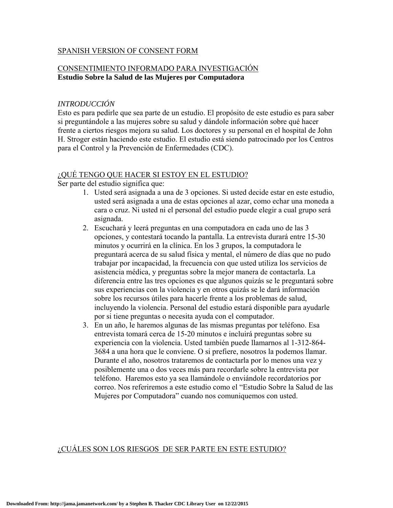#### SPANISH VERSION OF CONSENT FORM

## CONSENTIMIENTO INFORMADO PARA INVESTIGACIÓN **Estudio Sobre la Salud de las Mujeres por Computadora**

### *INTRODUCCIÓN*

Esto es para pedirle que sea parte de un estudio. El propósito de este estudio es para saber si preguntándole a las mujeres sobre su salud y dándole información sobre qué hacer frente a ciertos riesgos mejora su salud. Los doctores y su personal en el hospital de John H. Stroger están haciendo este estudio. El estudio está siendo patrocinado por los Centros para el Control y la Prevención de Enfermedades (CDC).

#### ¿QUÉ TENGO QUE HACER SI ESTOY EN EL ESTUDIO?

Ser parte del estudio significa que:

- 1. Usted será asignada a una de 3 opciones. Si usted decide estar en este estudio, usted será asignada a una de estas opciones al azar, como echar una moneda a cara o cruz. Ni usted ni el personal del estudio puede elegir a cual grupo será asignada.
- 2. Escuchará y leerá preguntas en una computadora en cada uno de las 3 opciones, y contestará tocando la pantalla. La entrevista durará entre 15-30 minutos y ocurrirá en la clínica. En los 3 grupos, la computadora le preguntará acerca de su salud física y mental, el número de días que no pudo trabajar por incapacidad, la frecuencia con que usted utiliza los servicios de asistencia médica, y preguntas sobre la mejor manera de contactarla. La diferencia entre las tres opciones es que algunos quizás se le preguntará sobre sus experiencias con la violencia y en otros quizás se le dará información sobre los recursos útiles para hacerle frente a los problemas de salud, incluyendo la violencia. Personal del estudio estará disponible para ayudarle por si tiene preguntas o necesita ayuda con el computador.
- 3. En un año, le haremos algunas de las mismas preguntas por teléfono. Esa entrevista tomará cerca de 15-20 minutos e incluirá preguntas sobre su experiencia con la violencia. Usted también puede llamarnos al 1-312-864- 3684 a una hora que le conviene. O si prefiere, nosotros la podemos llamar. Durante el año, nosotros trataremos de contactarla por lo menos una vez y posiblemente una o dos veces más para recordarle sobre la entrevista por teléfono. Haremos esto ya sea llamándole o enviándole recordatorios por correo. Nos referiremos a este estudio como el "Estudio Sobre la Salud de las Mujeres por Computadora" cuando nos comuniquemos con usted.

#### ¿CUÁLES SON LOS RIESGOS DE SER PARTE EN ESTE ESTUDIO?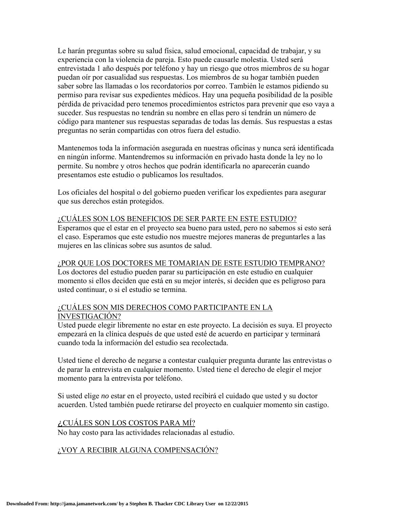Le harán preguntas sobre su salud física, salud emocional, capacidad de trabajar, y su experiencia con la violencia de pareja. Esto puede causarle molestia. Usted será entrevistada 1 año después por teléfono y hay un riesgo que otros miembros de su hogar puedan oír por casualidad sus respuestas. Los miembros de su hogar también pueden saber sobre las llamadas o los recordatorios por correo. También le estamos pidiendo su permiso para revisar sus expedientes médicos. Hay una pequeña posibilidad de la posible pérdida de privacidad pero tenemos procedimientos estrictos para prevenir que eso vaya a suceder. Sus respuestas no tendrán su nombre en ellas pero sí tendrán un número de código para mantener sus respuestas separadas de todas las demás. Sus respuestas a estas preguntas no serán compartidas con otros fuera del estudio.

Mantenemos toda la información asegurada en nuestras oficinas y nunca será identificada en ningún informe. Mantendremos su información en privado hasta donde la ley no lo permite. Su nombre y otros hechos que podrán identificarla no aparecerán cuando presentamos este estudio o publicamos los resultados.

Los oficiales del hospital o del gobierno pueden verificar los expedientes para asegurar que sus derechos están protegidos.

## ¿CUÁLES SON LOS BENEFICIOS DE SER PARTE EN ESTE ESTUDIO?

Esperamos que el estar en el proyecto sea bueno para usted, pero no sabemos si esto será el caso. Esperamos que este estudio nos muestre mejores maneras de preguntarles a las mujeres en las clínicas sobre sus asuntos de salud.

#### ¿POR QUE LOS DOCTORES ME TOMARIAN DE ESTE ESTUDIO TEMPRANO?

Los doctores del estudio pueden parar su participación en este estudio en cualquier momento si ellos deciden que está en su mejor interés, si deciden que es peligroso para usted continuar, o si el estudio se termina.

## ¿CUÁLES SON MIS DERECHOS COMO PARTICIPANTE EN LA INVESTIGACIÓN?

Usted puede elegir libremente no estar en este proyecto. La decisión es suya. El proyecto empezará en la clínica después de que usted esté de acuerdo en participar y terminará cuando toda la información del estudio sea recolectada.

Usted tiene el derecho de negarse a contestar cualquier pregunta durante las entrevistas o de parar la entrevista en cualquier momento. Usted tiene el derecho de elegir el mejor momento para la entrevista por teléfono.

Si usted elige *no* estar en el proyecto, usted recibirá el cuidado que usted y su doctor acuerden. Usted también puede retirarse del proyecto en cualquier momento sin castigo.

## ¿CUÁLES SON LOS COSTOS PARA MÍ?

No hay costo para las actividades relacionadas al estudio.

## ¿VOY A RECIBIR ALGUNA COMPENSACIÓN?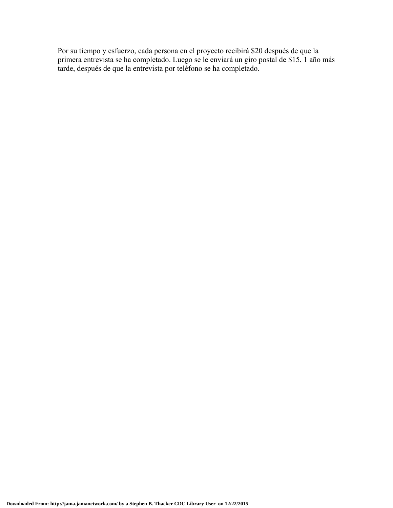Por su tiempo y esfuerzo, cada persona en el proyecto recibirá \$20 después de que la primera entrevista se ha completado. Luego se le enviará un giro postal de \$15, 1 año más tarde, después de que la entrevista por teléfono se ha completado.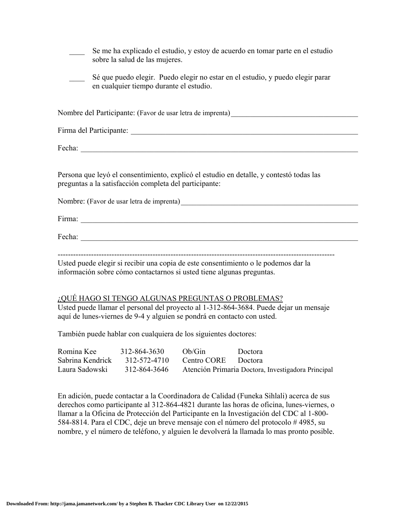| Se me ha explicado el estudio, y estoy de acuerdo en tomar parte en el estudio<br>sobre la salud de las mujeres. |                                                                                                                                                             |  |
|------------------------------------------------------------------------------------------------------------------|-------------------------------------------------------------------------------------------------------------------------------------------------------------|--|
|                                                                                                                  | Sé que puedo elegir. Puedo elegir no estar en el estudio, y puedo elegir parar<br>en cualquier tiempo durante el estudio.                                   |  |
|                                                                                                                  |                                                                                                                                                             |  |
|                                                                                                                  |                                                                                                                                                             |  |
|                                                                                                                  | Fecha: $\overline{\phantom{a}}$                                                                                                                             |  |
|                                                                                                                  | Persona que leyó el consentimiento, explicó el estudio en detalle, y contestó todas las<br>preguntas a la satisfacción completa del participante:           |  |
|                                                                                                                  |                                                                                                                                                             |  |
|                                                                                                                  |                                                                                                                                                             |  |
|                                                                                                                  | Fecha: $\overline{\phantom{a}}$                                                                                                                             |  |
|                                                                                                                  | Usted puede elegir si recibir una copia de este consentimiento o le podemos dar la<br>información sobre cómo contactarnos si usted tiene algunas preguntas. |  |
|                                                                                                                  |                                                                                                                                                             |  |

Usted puede llamar el personal del proyecto al 1-312-864-3684. Puede dejar un mensaje aquí de lunes-viernes de 9-4 y alguien se pondrá en contacto con usted.

También puede hablar con cualquiera de los siguientes doctores:

| Romina Kee       | 312-864-3630 | Oh/Gin              | Doctora                                            |
|------------------|--------------|---------------------|----------------------------------------------------|
| Sabrina Kendrick | 312-572-4710 | Centro CORE Doctora |                                                    |
| Laura Sadowski   | 312-864-3646 |                     | Atención Primaria Doctora, Investigadora Principal |

En adición, puede contactar a la Coordinadora de Calidad (Funeka Sihlali) acerca de sus derechos como participante al 312-864-4821 durante las horas de oficina, lunes-viernes, o llamar a la Oficina de Protección del Participante en la Investigación del CDC al 1-800- 584-8814. Para el CDC, deje un breve mensaje con el número del protocolo # 4985, su nombre, y el número de teléfono, y alguien le devolverá la llamada lo mas pronto posible.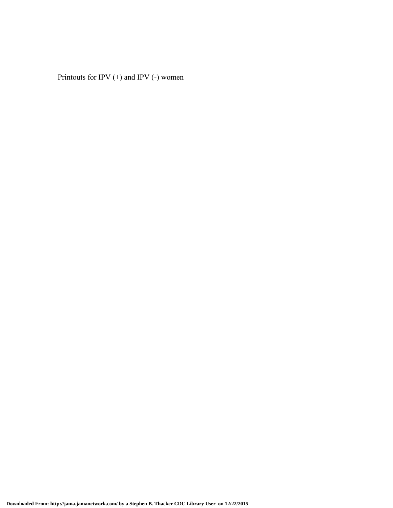Printouts for IPV (+) and IPV (-) women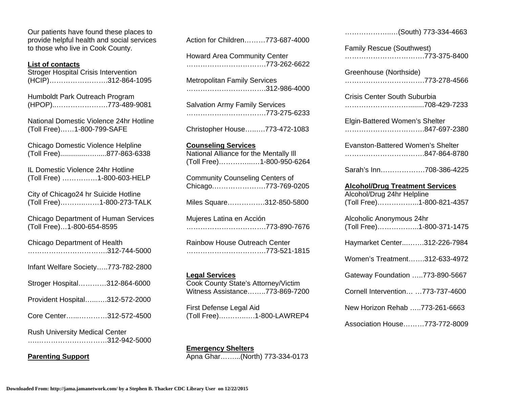Our patients have found these places to provide helpful health and social services to those who live in Cook County.

#### **List of contacts**

Stroger Hospital Crisis Intervention (HCIP)…………………….312-864-1095

Humboldt Park Outreach Program (HPOP)..………………….773-489-9081

National Domestic Violence 24hr Hotline (Toll Free)……1-800-799-SAFE

Chicago Domestic Violence Helpline (Toll Free)...............….....877-863-6338

IL Domestic Violence 24hr Hotline (Toll Free) ……………1-800-603-HELP

City of Chicago24 hr Suicide Hotline (Toll Free)………..……1-800-273-TALK

Chicago Department of Human Services (Toll Free)…1-800-654-8595

| <b>Chicago Department of Health</b><br>312-744-5000   |
|-------------------------------------------------------|
| Infant Welfare Society773-782-2800                    |
| Stroger Hospital312-864-6000                          |
| Provident Hospital312-572-2000                        |
| Core Center312-572-4500                               |
| <b>Rush University Medical Center</b><br>312-942-5000 |

**Parenting Support** 

Action for Children………773-687-4000

Howard Area Community Center …………………………….773-262-6622

Metropolitan Family Services …………………………….312-986-4000

Salvation Army Family Services …………………………….773-275-6233

Christopher House…..….773-472-1083

#### **Counseling Services**

National Alliance for the Mentally Ill (Toll Free)…………...…1-800-950-6264

Community Counseling Centers of Chicago.………………….773-769-0205

Miles Square…………….312-850-5800

Mujeres Latina en Acción …………………………….773-890-7676

Rainbow House Outreach Center …………………………….773-521-1815

#### **Legal Services**

Cook County State's Attorney/Victim Witness Assistance……..773-869-7200

First Defense Legal Aid (Toll Free)….……..….1-800-LAWREP4

**Emergency Shelters**  Apna Ghar……...(North) 773-334-0173

| (South) 773-334-4663                                                                              |
|---------------------------------------------------------------------------------------------------|
| <b>Family Rescue (Southwest)</b><br>773-375-8400                                                  |
| Greenhouse (Northside)<br>773-278-4566                                                            |
| Crisis Center South Suburbia                                                                      |
| Elgin-Battered Women's Shelter                                                                    |
| Evanston-Battered Women's Shelter<br>847-864-8780                                                 |
| Sarah's Inn708-386-4225                                                                           |
|                                                                                                   |
| <b>Alcohol/Drug Treatment Services</b><br>Alcohol/Drug 24hr Helpline<br>(Toll Free)1-800-821-4357 |
| Alcoholic Anonymous 24hr<br>(Toll Free)1-800-371-1475                                             |
| Haymarket Center312-226-7984                                                                      |
| Women's Treatment312-633-4972                                                                     |
| Gateway Foundation 773-890-5667                                                                   |
| Cornell Intervention  773-737-4600                                                                |
| New Horizon Rehab 773-261-6663                                                                    |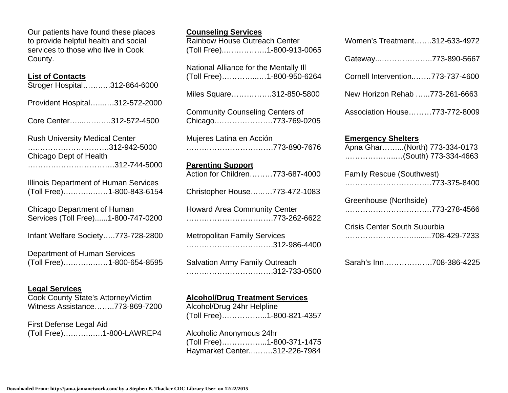Our patients have found these places to provide helpful health and social services to those who live in Cook County.

#### **List of Contacts**

Stroger Hospital…….….312-864-6000 Provident Hospital…...….312-572-2000 Core Center…....…….…312-572-4500 Rush University Medical Center ….……………………….312-942-5000 Chicago Dept of Health …………………………….312-744-5000 Illinois Department of Human Services (Toll Free)….……..……1-800-843-6154 Chicago Department of Human Services (Toll Free)......1-800-747-0200 Infant Welfare Society…..773-728-2800 Department of Human Services (Toll Free)….……..……1-800-654-8595

#### **Legal Services**

Cook County State's Attorney/Victim Witness Assistance……..773-869-7200

First Defense Legal Aid (Toll Free)….……..….1-800-LAWREP4

| <b>Rainbow House Outreach Center</b><br>(Toll Free)1-800-913-0065   |
|---------------------------------------------------------------------|
| National Alliance for the Mentally III<br>(Toll Free)1-800-950-6264 |
| Miles Square312-850-5800                                            |
| <b>Community Counseling Centers of</b><br>Chicago773-769-0205       |
| Mujeres Latina en Acción<br>773-890-7676                            |
| <b>Parenting Support</b>                                            |
| Action for Children773-687-4000                                     |
| Christopher House773-472-1083                                       |
| <b>Howard Area Community Center</b>                                 |
| <b>Metropolitan Family Services</b><br>312-986-4400                 |

**Counseling Services** 

Salvation Army Family Outreach …………………………….312-733-0500

## **Alcohol/Drug Treatment Services**

Alcohol/Drug 24hr Helpline (Toll Free)……………...1-800-821-4357

Alcoholic Anonymous 24hr (Toll Free)……………...1-800-371-1475 Haymarket Center...…….312-226-7984

| Women's Treatment312-633-4972    |  |
|----------------------------------|--|
| Gateway773-890-5667              |  |
| Cornell Intervention773-737-4600 |  |
| New Horizon Rehab 773-261-6663   |  |
| Association House773-772-8009    |  |

## **Emergency Shelters**

| Apna Ghar……(North) 773-334-0173 |  |
|---------------------------------|--|
| (South) 773-334-4663            |  |

| <b>Family Rescue (Southwest)</b> |
|----------------------------------|
|                                  |

| Greenhouse (Northside) |
|------------------------|
| 773-278-4566           |

| <b>Crisis Center South Suburbia</b> |
|-------------------------------------|
| 708-429-7233                        |

Sarah's Inn……………….708-386-4225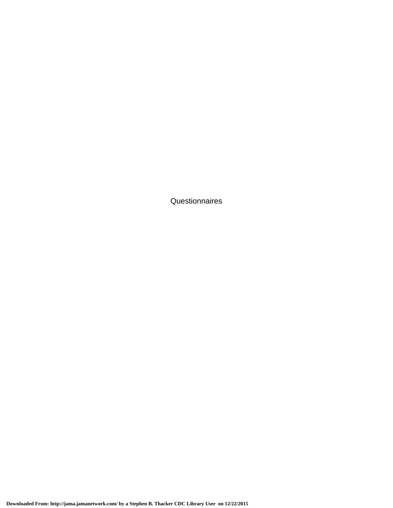Questionnaires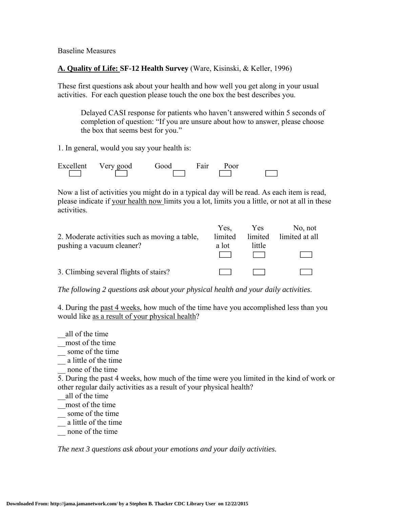Baseline Measures

## **A. Quality of Life: SF-12 Health Survey** (Ware, Kisinski, & Keller, 1996)

These first questions ask about your health and how well you get along in your usual activities. For each question please touch the one box the best describes you.

Delayed CASI response for patients who haven't answered within 5 seconds of completion of question: "If you are unsure about how to answer, please choose the box that seems best for you."

1. In general, would you say your health is:

Excellent Very good Good Fair Poor  $\Box$ 

Now a list of activities you might do in a typical day will be read. As each item is read, please indicate if your health now limits you a lot, limits you a little, or not at all in these activities.

|                                                | Yes.    | Yes    | No. not                |
|------------------------------------------------|---------|--------|------------------------|
| 2. Moderate activities such as moving a table, | limited |        | limited limited at all |
| pushing a vacuum cleaner?                      | a lot   | little |                        |
|                                                |         |        |                        |
|                                                |         |        |                        |
| 3. Climbing several flights of stairs?         |         |        |                        |

*The following 2 questions ask about your physical health and your daily activities*.

4. During the past 4 weeks, how much of the time have you accomplished less than you would like as a result of your physical health?

- \_\_all of the time
- \_\_most of the time
- $\equiv$  some of the time
- \_\_ a little of the time
- \_\_ none of the time

5. During the past 4 weeks, how much of the time were you limited in the kind of work or other regular daily activities as a result of your physical health?

- \_\_all of the time
- \_\_most of the time
- \_\_ some of the time
- \_\_ a little of the time
- \_\_ none of the time

*The next 3 questions ask about your emotions and your daily activities.*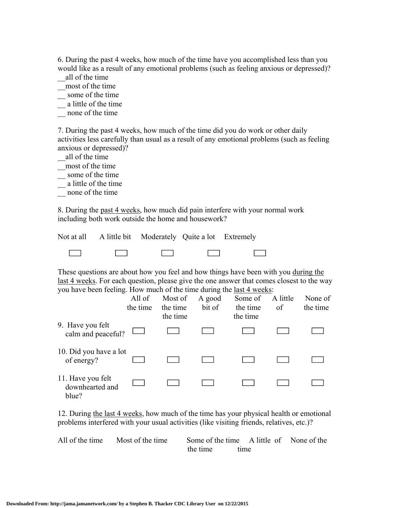6. During the past 4 weeks, how much of the time have you accomplished less than you would like as a result of any emotional problems (such as feeling anxious or depressed)?

- \_\_all of the time
- \_\_most of the time
- \_\_ some of the time
- \_\_ a little of the time
- \_\_ none of the time

7. During the past 4 weeks, how much of the time did you do work or other daily activities less carefully than usual as a result of any emotional problems (such as feeling anxious or depressed)?

\_\_all of the time

- \_\_most of the time
- \_\_ some of the time
- \_\_ a little of the time
- \_\_ none of the time

8. During the past 4 weeks, how much did pain interfere with your normal work including both work outside the home and housework?

|                            |                                   | Not at all A little bit Moderately Quite a lot Extremely |                                           |                   |
|----------------------------|-----------------------------------|----------------------------------------------------------|-------------------------------------------|-------------------|
| $\mathcal{L}(\mathcal{L})$ | <b>Contract Contract Contract</b> | <b>Contract Contract Contract Contract</b>               | $\mathcal{L} = \mathcal{L} = \mathcal{L}$ | <b>The Common</b> |

These questions are about how you feel and how things have been with you during the last 4 weeks. For each question, please give the one answer that comes closest to the way you have been feeling. How much of the time during the last 4 weeks:

|                                               | All of<br>the time | Most of<br>the time<br>the time | A good<br>bit of | Some of<br>the time<br>the time | A little<br>of | None of<br>the time |
|-----------------------------------------------|--------------------|---------------------------------|------------------|---------------------------------|----------------|---------------------|
| 9. Have you felt<br>calm and peaceful?        |                    |                                 |                  |                                 |                |                     |
| 10. Did you have a lot<br>of energy?          |                    |                                 |                  |                                 |                |                     |
| 11. Have you felt<br>downhearted and<br>blue? |                    |                                 |                  |                                 |                |                     |

12. During the last 4 weeks, how much of the time has your physical health or emotional problems interfered with your usual activities (like visiting friends, relatives, etc.)?

All of the time Most of the time Some of the time A little of None of the the time time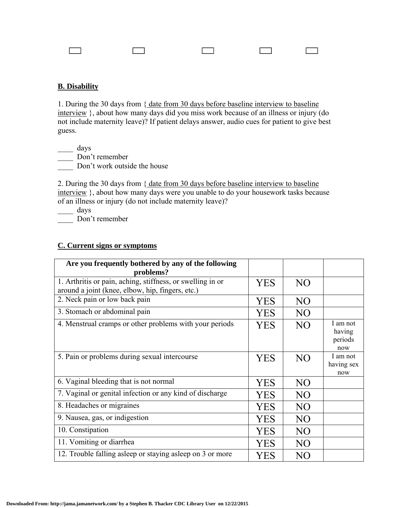## **B. Disability**

1. During the 30 days from { date from 30 days before baseline interview to baseline interview }, about how many days did you miss work because of an illness or injury (do not include maternity leave)? If patient delays answer, audio cues for patient to give best guess.

\_\_\_\_ days

\_\_\_\_ Don't remember

Don't work outside the house

2. During the 30 days from { date from 30 days before baseline interview to baseline interview }, about how many days were you unable to do your housework tasks because of an illness or injury (do not include maternity leave)?

\_\_\_\_ days Don't remember

## **C. Current signs or symptoms**

| Are you frequently bothered by any of the following<br>problems?                                               |            |                |                                      |
|----------------------------------------------------------------------------------------------------------------|------------|----------------|--------------------------------------|
| 1. Arthritis or pain, aching, stiffness, or swelling in or<br>around a joint (knee, elbow, hip, fingers, etc.) | YES        | NO             |                                      |
| 2. Neck pain or low back pain                                                                                  | YES        | N <sub>O</sub> |                                      |
| 3. Stomach or abdominal pain                                                                                   | <b>YES</b> | NO             |                                      |
| 4. Menstrual cramps or other problems with your periods                                                        | <b>YES</b> | NO             | I am not<br>having<br>periods<br>now |
| 5. Pain or problems during sexual intercourse                                                                  | YES        | NO             | I am not<br>having sex<br>now        |
| 6. Vaginal bleeding that is not normal                                                                         | YES        | N <sub>O</sub> |                                      |
| 7. Vaginal or genital infection or any kind of discharge                                                       | YES        | NO             |                                      |
| 8. Headaches or migraines                                                                                      | YES        | NO             |                                      |
| 9. Nausea, gas, or indigestion                                                                                 | YES        | N <sub>O</sub> |                                      |
| 10. Constipation                                                                                               | YES        | NO             |                                      |
| 11. Vomiting or diarrhea                                                                                       | <b>YES</b> | N <sub>O</sub> |                                      |
| 12. Trouble falling asleep or staying asleep on 3 or more                                                      | YES        | NO             |                                      |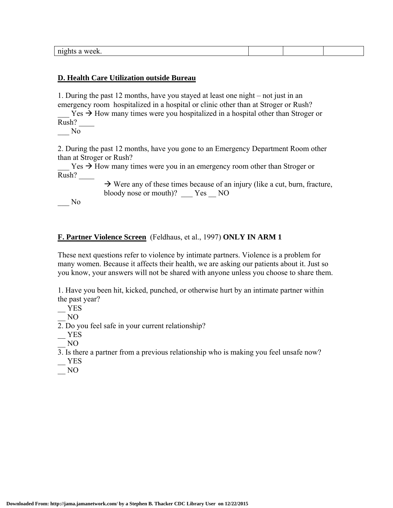| m <sub>1</sub><br>שנ<br>AL F<br>"VUN.<br>___ |  |  |
|----------------------------------------------|--|--|
|                                              |  |  |

#### **D. Health Care Utilization outside Bureau**

1. During the past 12 months, have you stayed at least one night – not just in an emergency room hospitalized in a hospital or clinic other than at Stroger or Rush?

 $Yes \rightarrow How$  many times were you hospitalized in a hospital other than Stroger or Rush? \_\_\_\_

 $\overline{\phantom{0}}$  No

2. During the past 12 months, have you gone to an Emergency Department Room other than at Stroger or Rush?

 $Yes \rightarrow How$  many times were you in an emergency room other than Stroger or Rush? \_\_\_\_

> $\rightarrow$  Were any of these times because of an injury (like a cut, burn, fracture, bloody nose or mouth)? Yes NO

\_\_\_ No

#### **F. Partner Violence Screen** (Feldhaus, et al., 1997) **ONLY IN ARM 1**

These next questions refer to violence by intimate partners. Violence is a problem for many women. Because it affects their health, we are asking our patients about it. Just so you know, your answers will not be shared with anyone unless you choose to share them.

1. Have you been hit, kicked, punched, or otherwise hurt by an intimate partner within the past year?

\_\_ YES

\_\_ NO

2. Do you feel safe in your current relationship?

 $-$  YES

\_\_ NO

3. Is there a partner from a previous relationship who is making you feel unsafe now?

 $-$  YES

\_\_ NO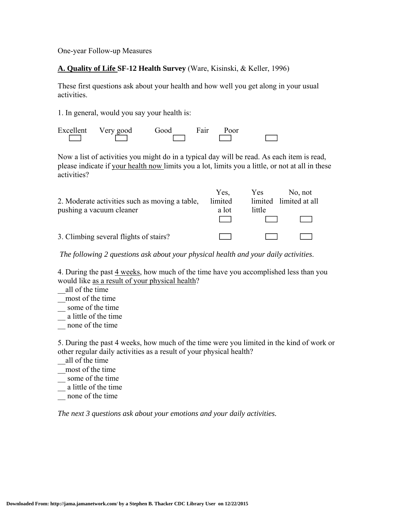One-year Follow-up Measures

## **A. Quality of Life SF-12 Health Survey** (Ware, Kisinski, & Keller, 1996)

These first questions ask about your health and how well you get along in your usual activities.

1. In general, would you say your health is:

|                              | Excellent Very good | Good | Fair | Poor |  |
|------------------------------|---------------------|------|------|------|--|
| and the property of the con- |                     |      |      |      |  |

Now a list of activities you might do in a typical day will be read. As each item is read, please indicate if your health now limits you a lot, limits you a little, or not at all in these activities?

|                                                | Yes.    | <b>Yes</b> | No, not                |
|------------------------------------------------|---------|------------|------------------------|
| 2. Moderate activities such as moving a table, | limited |            | limited limited at all |
| pushing a vacuum cleaner                       | a lot   | little     |                        |
|                                                |         |            |                        |
|                                                |         |            |                        |
| 3. Climbing several flights of stairs?         |         |            |                        |

*The following 2 questions ask about your physical health and your daily activities*.

4. During the past 4 weeks, how much of the time have you accomplished less than you would like as a result of your physical health?

all of the time

\_\_most of the time

some of the time

\_\_ a little of the time

\_\_ none of the time

5. During the past 4 weeks, how much of the time were you limited in the kind of work or other regular daily activities as a result of your physical health?

\_\_all of the time

\_\_most of the time

\_\_ some of the time

\_\_ a little of the time

none of the time

*The next 3 questions ask about your emotions and your daily activities.*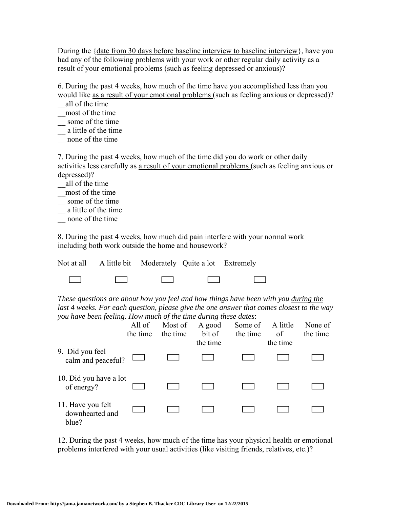During the {date from 30 days before baseline interview to baseline interview}, have you had any of the following problems with your work or other regular daily activity as a result of your emotional problems (such as feeling depressed or anxious)?

6. During the past 4 weeks, how much of the time have you accomplished less than you would like as a result of your emotional problems (such as feeling anxious or depressed)?

\_\_all of the time

\_\_most of the time

\_\_ some of the time

\_\_ a little of the time

\_\_ none of the time

7. During the past 4 weeks, how much of the time did you do work or other daily activities less carefully as a result of your emotional problems (such as feeling anxious or depressed)?

\_\_all of the time

\_\_most of the time

\_\_ some of the time

\_\_ a little of the time

\_\_ none of the time

8. During the past 4 weeks, how much did pain interfere with your normal work including both work outside the home and housework?

Not at all A little bit Moderately Quite a lot Extremely

 $\Box$  $\Box$ 

*These questions are about how you feel and how things have been with you during the last 4 weeks. For each question, please give the one answer that comes closest to the way you have been feeling. How much of the time during these dates*:

|                                               | All of<br>the time | Most of<br>the time | A good<br>bit of<br>the time | Some of<br>the time | A little<br>of<br>the time | None of<br>the time |
|-----------------------------------------------|--------------------|---------------------|------------------------------|---------------------|----------------------------|---------------------|
| 9. Did you feel<br>calm and peaceful?         |                    |                     |                              |                     |                            |                     |
| 10. Did you have a lot<br>of energy?          |                    |                     |                              |                     |                            |                     |
| 11. Have you felt<br>downhearted and<br>blue? |                    |                     |                              |                     |                            |                     |

12. During the past 4 weeks, how much of the time has your physical health or emotional problems interfered with your usual activities (like visiting friends, relatives, etc.)?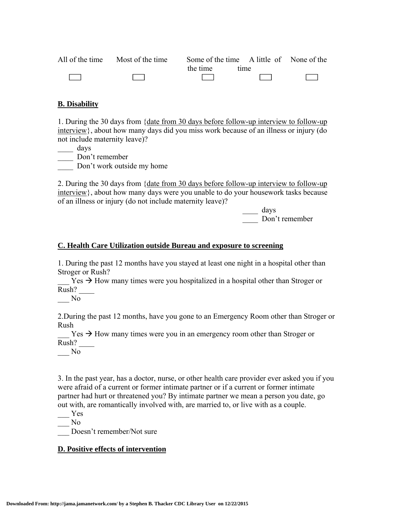| All of the time Most of the time | Some of the time A little of None of the |                               |        |
|----------------------------------|------------------------------------------|-------------------------------|--------|
|                                  | the time                                 | time.                         |        |
| <b>Contract Contract</b>         | and the state                            | the control of the control of | $\Box$ |

## **B. Disability**

1. During the 30 days from {date from 30 days before follow-up interview to follow-up interview}, about how many days did you miss work because of an illness or injury (do not include maternity leave)?

\_\_\_\_ days

\_\_\_\_ Don't remember

Don't work outside my home

2. During the 30 days from {date from 30 days before follow-up interview to follow-up interview}, about how many days were you unable to do your housework tasks because of an illness or injury (do not include maternity leave)?

> \_\_\_\_ days Don't remember

#### **C. Health Care Utilization outside Bureau and exposure to screening**

1. During the past 12 months have you stayed at least one night in a hospital other than Stroger or Rush?

 $Yes \rightarrow How$  many times were you hospitalized in a hospital other than Stroger or Rush? \_\_\_\_

\_\_\_ No

2.During the past 12 months, have you gone to an Emergency Room other than Stroger or Rush

 $Y$ es  $\rightarrow$  How many times were you in an emergency room other than Stroger or Rush? \_\_\_\_

\_\_\_ No

3. In the past year, has a doctor, nurse, or other health care provider ever asked you if you were afraid of a current or former intimate partner or if a current or former intimate partner had hurt or threatened you? By intimate partner we mean a person you date, go out with, are romantically involved with, are married to, or live with as a couple.

\_\_\_ Yes

 $\overline{\phantom{0}}$  No

Doesn't remember/Not sure

## **D. Positive effects of intervention**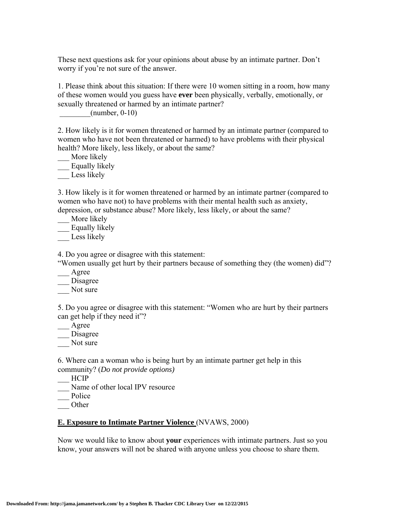These next questions ask for your opinions about abuse by an intimate partner. Don't worry if you're not sure of the answer.

1. Please think about this situation: If there were 10 women sitting in a room, how many of these women would you guess have **ever** been physically, verbally, emotionally, or sexually threatened or harmed by an intimate partner?

 $(number, 0-10)$ 

2. How likely is it for women threatened or harmed by an intimate partner (compared to women who have not been threatened or harmed) to have problems with their physical health? More likely, less likely, or about the same?

\_\_ More likely \_\_ Equally likely

Less likely

3. How likely is it for women threatened or harmed by an intimate partner (compared to women who have not) to have problems with their mental health such as anxiety, depression, or substance abuse? More likely, less likely, or about the same?

\_\_ More likely

\_\_ Equally likely

Less likely

4. Do you agree or disagree with this statement:

"Women usually get hurt by their partners because of something they (the women) did"?

\_\_\_ Agree

\_\_\_ Disagree

Not sure

5. Do you agree or disagree with this statement: "Women who are hurt by their partners can get help if they need it"?

\_\_\_ Agree \_\_\_ Disagree

Not sure

6. Where can a woman who is being hurt by an intimate partner get help in this community? (*Do not provide options)*

\_\_\_ HCIP

Name of other local IPV resource

\_\_\_ Police

\_\_\_ Other

## **E. Exposure to Intimate Partner Violence** (NVAWS, 2000)

Now we would like to know about **your** experiences with intimate partners. Just so you know, your answers will not be shared with anyone unless you choose to share them.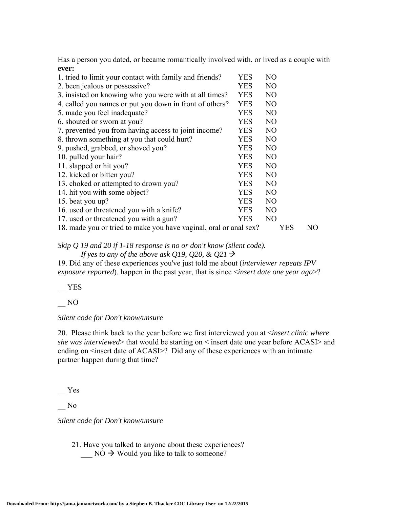Has a person you dated, or became romantically involved with, or lived as a couple with **ever:**

| 1. tried to limit your contact with family and friends?           | <b>YES</b> | N <sub>O</sub> |    |
|-------------------------------------------------------------------|------------|----------------|----|
| 2. been jealous or possessive?                                    | <b>YES</b> | N <sub>O</sub> |    |
| 3. insisted on knowing who you were with at all times?            | <b>YES</b> | N <sub>O</sub> |    |
| 4. called you names or put you down in front of others?           | <b>YES</b> | N <sub>O</sub> |    |
| 5. made you feel inadequate?                                      | <b>YES</b> | N <sub>O</sub> |    |
| 6. shouted or sworn at you?                                       | <b>YES</b> | N <sub>O</sub> |    |
| 7. prevented you from having access to joint income?              | <b>YES</b> | N <sub>O</sub> |    |
| 8. thrown something at you that could hurt?                       | <b>YES</b> | N <sub>O</sub> |    |
| 9. pushed, grabbed, or shoved you?                                | <b>YES</b> | N <sub>O</sub> |    |
| 10. pulled your hair?                                             | <b>YES</b> | N <sub>O</sub> |    |
| 11. slapped or hit you?                                           | <b>YES</b> | N <sub>O</sub> |    |
| 12. kicked or bitten you?                                         | <b>YES</b> | N <sub>O</sub> |    |
| 13. choked or attempted to drown you?                             | <b>YES</b> | N <sub>O</sub> |    |
| 14. hit you with some object?                                     | <b>YES</b> | N <sub>O</sub> |    |
| 15. beat you up?                                                  | <b>YES</b> | N <sub>O</sub> |    |
| 16. used or threatened you with a knife?                          | <b>YES</b> | N <sub>O</sub> |    |
| 17. used or threatened you with a gun?                            | YES        | N <sub>O</sub> |    |
| 18. made you or tried to make you have vaginal, oral or anal sex? |            | YES            | NO |

*Skip Q 19 and 20 if 1-18 response is no or don't know (silent code).* 

*If yes to any of the above ask Q19, Q20, & Q21* $\rightarrow$ 

19. Did any of these experiences you've just told me about (*interviewer repeats IPV exposure reported*). happen in the past year, that is since <*insert date one year ago*>?

\_\_ YES

 $\overline{\phantom{0}}^{NO}$ 

#### *Silent code for Don't know/unsure*

20. Please think back to the year before we first interviewed you at <*insert clinic where she was interviewed*> that would be starting on < insert date one year before ACASI> and ending on <insert date of ACASI>? Did any of these experiences with an intimate partner happen during that time?

\_\_ Yes

 $\overline{\phantom{0}}$  No

*Silent code for Don't know/unsure*

 21. Have you talked to anyone about these experiences?  $\sim$  NO  $\rightarrow$  Would you like to talk to someone?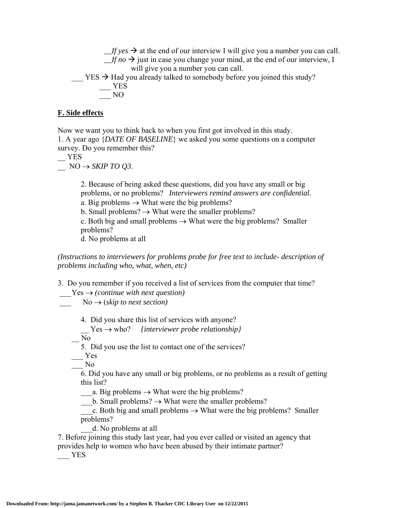$If yes \rightarrow at the end of our interview I will give you a number you can call.$  $\angle$ *If no*  $\rightarrow$  just in case you change your mind, at the end of our interview, I will give you a number you can call.  $YES \rightarrow Had$  you already talked to somebody before you joined this study?  $-$  YES \_\_\_ NO

#### **F. Side effects**

Now we want you to think back to when you first got involved in this study. 1. A year ago {*DATE OF BASELINE*} we asked you some questions on a computer survey. Do you remember this?

 $-$  YES

 $NO \rightarrow SKIP$  *TO 03*.

2. Because of being asked these questions, did you have any small or big problems, or no problems? *Interviewers remind answers are confidential.* a. Big problems  $\rightarrow$  What were the big problems?

b. Small problems?  $\rightarrow$  What were the smaller problems?

c. Both big and small problems  $\rightarrow$  What were the big problems? Smaller problems?

d. No problems at all

*(Instructions to interviewers for problems probe for free text to include- description of problems including who, what, when, etc)*

3. Do you remember if you received a list of services from the computer that time?

 $Yes \rightarrow (continue with next question)$ 

 $No \rightarrow (skip to next section)$ 

4. Did you share this list of services with anyone?

\_\_ Yes who? *{interviewer probe relationship}* 

No.

5. Did you use the list to contact one of the services?

 $Y$ es

\_\_\_ No

6. Did you have any small or big problems, or no problems as a result of getting this list?

a. Big problems  $\rightarrow$  What were the big problems?

 $_b$ . Small problems?  $\rightarrow$  What were the smaller problems?

c. Both big and small problems  $\rightarrow$  What were the big problems? Smaller problems?

\_\_\_d. No problems at all

7. Before joining this study last year, had you ever called or visited an agency that provides help to women who have been abused by their intimate partner?

\_\_\_ YES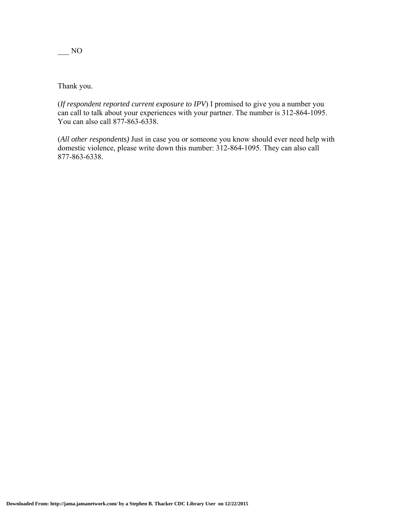Thank you.

(*If respondent reported current exposure to IPV*) I promised to give you a number you can call to talk about your experiences with your partner. The number is 312-864-1095. You can also call 877-863-6338.

(*All other respondents)* Just in case you or someone you know should ever need help with domestic violence, please write down this number: 312-864-1095. They can also call 877-863-6338.